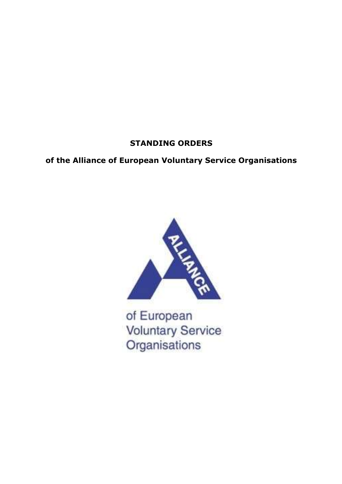# **STANDING ORDERS**

# **of the Alliance of European Voluntary Service Organisations**



of European **Voluntary Service** Organisations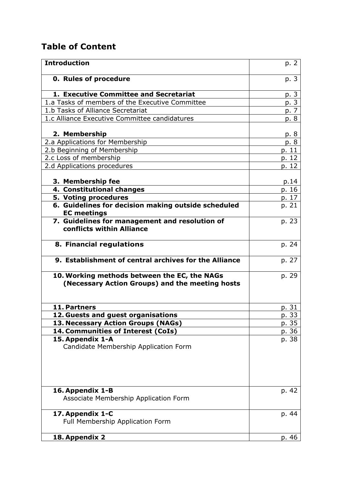# **Table of Content**

| <b>Introduction</b>                                                                             | p. 2  |
|-------------------------------------------------------------------------------------------------|-------|
| <b>0. Rules of procedure</b>                                                                    | p. 3  |
| 1. Executive Committee and Secretariat                                                          | p. 3  |
| 1.a Tasks of members of the Executive Committee                                                 | p.3   |
| 1.b Tasks of Alliance Secretariat                                                               | p. 7  |
| 1.c Alliance Executive Committee candidatures                                                   | p. 8  |
| 2. Membership                                                                                   | p. 8  |
| 2.a Applications for Membership                                                                 | p. 8  |
| 2.b Beginning of Membership                                                                     | p. 11 |
| 2.c Loss of membership                                                                          | p. 12 |
| 2.d Applications procedures                                                                     | p. 12 |
| 3. Membership fee                                                                               | p.14  |
| 4. Constitutional changes                                                                       | p. 16 |
| 5. Voting procedures                                                                            | p. 17 |
| 6. Guidelines for decision making outside scheduled<br><b>EC</b> meetings                       | p. 21 |
| 7. Guidelines for management and resolution of<br>conflicts within Alliance                     | p. 23 |
| 8. Financial regulations                                                                        | p. 24 |
| 9. Establishment of central archives for the Alliance                                           | p. 27 |
| 10. Working methods between the EC, the NAGs<br>(Necessary Action Groups) and the meeting hosts | p. 29 |
| 11. Partners                                                                                    | p. 31 |
| 12. Guests and guest organisations                                                              | p. 33 |
| 13. Necessary Action Groups (NAGs)                                                              | p. 35 |
| 14. Communities of Interest (CoIs)                                                              | p. 36 |
| 15. Appendix 1-A<br>Candidate Membership Application Form                                       | p. 38 |
| 16. Appendix 1-B<br>Associate Membership Application Form                                       | p. 42 |
| 17. Appendix 1-C<br>Full Membership Application Form                                            | p. 44 |
| 18. Appendix 2                                                                                  | p. 46 |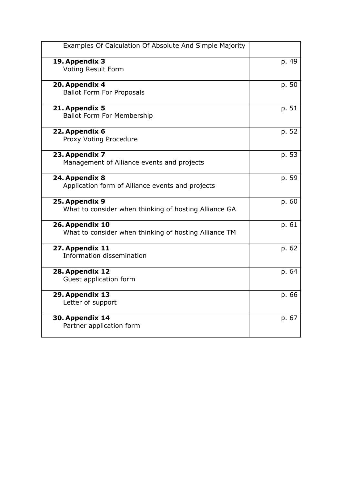| Examples Of Calculation Of Absolute And Simple Majority                  |       |
|--------------------------------------------------------------------------|-------|
| 19. Appendix 3<br><b>Voting Result Form</b>                              | p. 49 |
| 20. Appendix 4<br><b>Ballot Form For Proposals</b>                       | p. 50 |
| 21. Appendix 5<br><b>Ballot Form For Membership</b>                      | p. 51 |
| 22. Appendix 6<br>Proxy Voting Procedure                                 | p. 52 |
| 23. Appendix 7<br>Management of Alliance events and projects             | p. 53 |
| 24. Appendix 8<br>Application form of Alliance events and projects       | p. 59 |
| 25. Appendix 9<br>What to consider when thinking of hosting Alliance GA  | p. 60 |
| 26. Appendix 10<br>What to consider when thinking of hosting Alliance TM | p. 61 |
| 27. Appendix 11<br>Information dissemination                             | p. 62 |
| 28. Appendix 12<br>Guest application form                                | p. 64 |
| 29. Appendix 13<br>Letter of support                                     | p. 66 |
| 30. Appendix 14<br>Partner application form                              | p. 67 |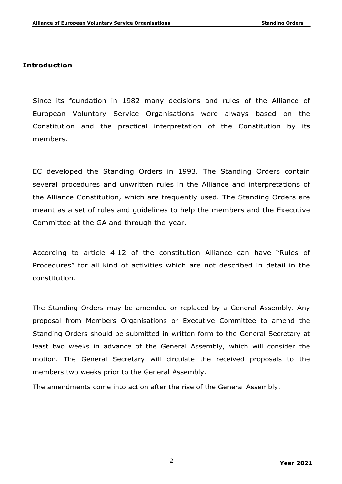### **Introduction**

Since its foundation in 1982 many decisions and rules of the Alliance of European Voluntary Service Organisations were always based on the Constitution and the practical interpretation of the Constitution by its members.

EC developed the Standing Orders in 1993. The Standing Orders contain several procedures and unwritten rules in the Alliance and interpretations of the Alliance Constitution, which are frequently used. The Standing Orders are meant as a set of rules and guidelines to help the members and the Executive Committee at the GA and through the year.

According to article 4.12 of the constitution Alliance can have "Rules of Procedures" for all kind of activities which are not described in detail in the constitution.

The Standing Orders may be amended or replaced by a General Assembly. Any proposal from Members Organisations or Executive Committee to amend the Standing Orders should be submitted in written form to the General Secretary at least two weeks in advance of the General Assembly, which will consider the motion. The General Secretary will circulate the received proposals to the members two weeks prior to the General Assembly.

The amendments come into action after the rise of the General Assembly.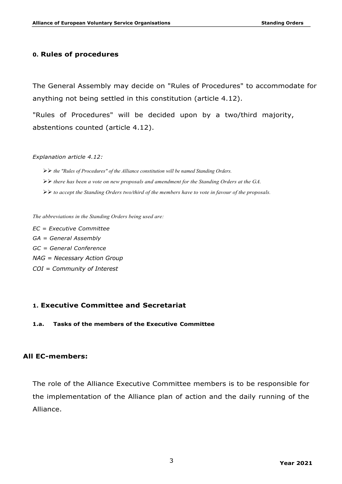#### **0. Rules of procedures**

The General Assembly may decide on "Rules of Procedures" to accommodate for anything not being settled in this constitution (article 4.12).

"Rules of Procedures" will be decided upon by a two/third majority, abstentions counted (article 4.12).

#### *Explanation article 4.12:*

- ØØ *the "Rules of Procedures" of the Alliance constitution will be named Standing Orders.*
- ØØ *there has been a vote on new proposals and amendment for the Standing Orders at the GA.*
- ØØ *to accept the Standing Orders two/third of the members have to vote in favour of the proposals.*

*The abbreviations in the Standing Orders being used are:*

*EC = Executive Committee GA = General Assembly GC = General Conference NAG = Necessary Action Group COI = Community of Interest*

#### **1. Executive Committee and Secretariat**

**1.a. Tasks of the members of the Executive Committee**

#### **All EC-members:**

The role of the Alliance Executive Committee members is to be responsible for the implementation of the Alliance plan of action and the daily running of the Alliance.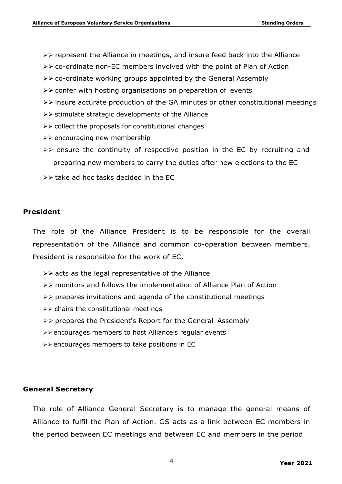- $\triangleright\triangleright$  represent the Alliance in meetings, and insure feed back into the Alliance
- $\triangleright\triangleright$  co-ordinate non-EC members involved with the point of Plan of Action
- $\triangleright\triangleright$  co-ordinate working groups appointed by the General Assembly
- $\triangleright\triangleright$  confer with hosting organisations on preparation of events
- $\triangleright\triangleright$  insure accurate production of the GA minutes or other constitutional meetings
- $\triangleright\triangleright$  stimulate strategic developments of the Alliance
- $\triangleright\triangleright$  collect the proposals for constitutional changes
- $\triangleright\triangleright$  encouraging new membership
- $\triangleright\triangleright$  ensure the continuity of respective position in the EC by recruiting and preparing new members to carry the duties after new elections to the EC
- $\triangleright\triangleright$  take ad hoc tasks decided in the EC

#### **President**

The role of the Alliance President is to be responsible for the overall representation of the Alliance and common co-operation between members. President is responsible for the work of EC.

- $\triangleright\triangleright$  acts as the legal representative of the Alliance
- $\triangleright\triangleright$  monitors and follows the implementation of Alliance Plan of Action
- $\triangleright\triangleright$  prepares invitations and agenda of the constitutional meetings
- $\triangleright\triangleright$  chairs the constitutional meetings
- $\triangleright\triangleright$  prepares the President's Report for the General Assembly
- ØØ encourages members to host Alliance's regular events
- ØØ encourages members to take positions in EC

## **General Secretary**

The role of Alliance General Secretary is to manage the general means of Alliance to fulfil the Plan of Action. GS acts as a link between EC members in the period between EC meetings and between EC and members in the period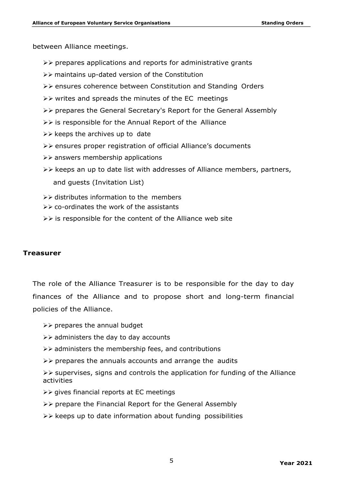between Alliance meetings.

- $\triangleright\triangleright$  prepares applications and reports for administrative grants
- ØØ maintains up-dated version of the Constitution
- ØØ ensures coherence between Constitution and Standing Orders
- $\triangleright\triangleright$  writes and spreads the minutes of the EC meetings
- ØØ prepares the General Secretary's Report for the General Assembly
- $\triangleright\triangleright$  is responsible for the Annual Report of the Alliance
- $\triangleright\triangleright$  keeps the archives up to date
- ØØ ensures proper registration of official Alliance's documents
- $\triangleright\triangleright$  answers membership applications
- $\triangleright\triangleright$  keeps an up to date list with addresses of Alliance members, partners, and guests (Invitation List)
- $\triangleright\triangleright$  distributes information to the members
- $\triangleright\triangleright$  co-ordinates the work of the assistants
- $\triangleright\triangleright$  is responsible for the content of the Alliance web site

#### **Treasurer**

The role of the Alliance Treasurer is to be responsible for the day to day finances of the Alliance and to propose short and long-term financial policies of the Alliance.

 $\triangleright\triangleright$  prepares the annual budget

- $\triangleright\triangleright$  administers the day to day accounts
- $\triangleright\triangleright$  administers the membership fees, and contributions
- $\triangleright\triangleright$  prepares the annuals accounts and arrange the audits

 $\triangleright\triangleright$  supervises, signs and controls the application for funding of the Alliance activities

- $\triangleright\triangleright$  gives financial reports at EC meetings
- $\triangleright\triangleright$  prepare the Financial Report for the General Assembly
- $\triangleright\triangleright$  keeps up to date information about funding possibilities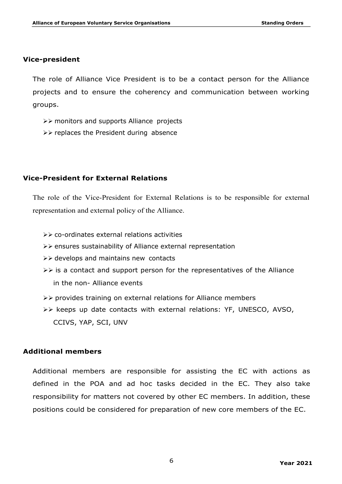#### **Vice-president**

The role of Alliance Vice President is to be a contact person for the Alliance projects and to ensure the coherency and communication between working groups.

- ØØ monitors and supports Alliance projects
- $\triangleright\triangleright$  replaces the President during absence

## **Vice-President for External Relations**

The role of the Vice-President for External Relations is to be responsible for external representation and external policy of the Alliance.

- $\triangleright\triangleright$  co-ordinates external relations activities
- ØØ ensures sustainability of Alliance external representation
- $\triangleright\triangleright$  develops and maintains new contacts
- $\triangleright\triangleright$  is a contact and support person for the representatives of the Alliance in the non- Alliance events
- $\triangleright\triangleright$  provides training on external relations for Alliance members
- $\triangleright\triangleright$  keeps up date contacts with external relations: YF, UNESCO, AVSO, CCIVS, YAP, SCI, UNV

## **Additional members**

Additional members are responsible for assisting the EC with actions as defined in the POA and ad hoc tasks decided in the EC. They also take responsibility for matters not covered by other EC members. In addition, these positions could be considered for preparation of new core members of the EC.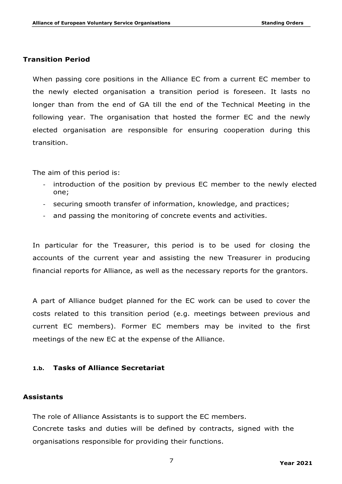### **Transition Period**

When passing core positions in the Alliance EC from a current EC member to the newly elected organisation a transition period is foreseen. It lasts no longer than from the end of GA till the end of the Technical Meeting in the following year. The organisation that hosted the former EC and the newly elected organisation are responsible for ensuring cooperation during this transition.

The aim of this period is:

- introduction of the position by previous EC member to the newly elected one;
- securing smooth transfer of information, knowledge, and practices;
- and passing the monitoring of concrete events and activities.

In particular for the Treasurer, this period is to be used for closing the accounts of the current year and assisting the new Treasurer in producing financial reports for Alliance, as well as the necessary reports for the grantors.

A part of Alliance budget planned for the EC work can be used to cover the costs related to this transition period (e.g. meetings between previous and current EC members). Former EC members may be invited to the first meetings of the new EC at the expense of the Alliance.

#### **1.b. Tasks of Alliance Secretariat**

#### **Assistants**

The role of Alliance Assistants is to support the EC members. Concrete tasks and duties will be defined by contracts, signed with the organisations responsible for providing their functions.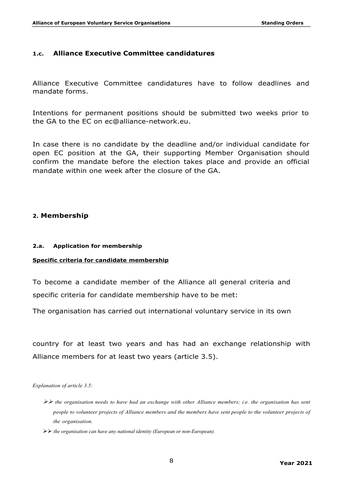#### **1.c. Alliance Executive Committee candidatures**

Alliance Executive Committee candidatures have to follow deadlines and mandate forms.

Intentions for permanent positions should be submitted two weeks prior to the GA to the EC on ec@alliance-network.eu.

In case there is no candidate by the deadline and/or individual candidate for open EC position at the GA, their supporting Member Organisation should confirm the mandate before the election takes place and provide an official mandate within one week after the closure of the GA.

#### **2. Membership**

#### **2.a. Application for membership**

#### **Specific criteria for candidate membership**

To become a candidate member of the Alliance all general criteria and specific criteria for candidate membership have to be met:

The organisation has carried out international voluntary service in its own

country for at least two years and has had an exchange relationship with Alliance members for at least two years (article 3.5).

*Explanation of article 3.5:*

- ØØ *the organisation needs to have had an exchange with other Alliance members; i.e. the organisation has sent people to volunteer projects of Alliance members and the members have sent people to the volunteer projects of the organisation.*
- ØØ *the organisation can have any national identity (European or non-European).*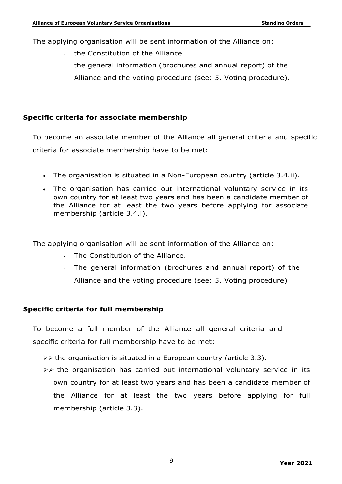The applying organisation will be sent information of the Alliance on:

- the Constitution of the Alliance.
- the general information (brochures and annual report) of the Alliance and the voting procedure (see: 5. Voting procedure).

# **Specific criteria for associate membership**

To become an associate member of the Alliance all general criteria and specific criteria for associate membership have to be met:

- The organisation is situated in a Non-European country (article 3.4.ii).
- The organisation has carried out international voluntary service in its own country for at least two years and has been a candidate member of the Alliance for at least the two years before applying for associate membership (article 3.4.i).

The applying organisation will be sent information of the Alliance on:

- The Constitution of the Alliance.
- The general information (brochures and annual report) of the Alliance and the voting procedure (see: 5. Voting procedure)

# **Specific criteria for full membership**

To become a full member of the Alliance all general criteria and specific criteria for full membership have to be met:

- $\triangleright$  the organisation is situated in a European country (article 3.3).
- $\triangleright$  the organisation has carried out international voluntary service in its own country for at least two years and has been a candidate member of the Alliance for at least the two years before applying for full membership (article 3.3).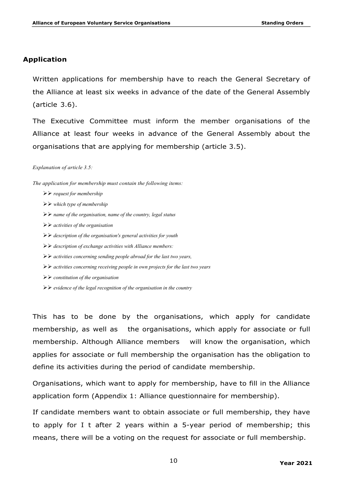## **Application**

Written applications for membership have to reach the General Secretary of the Alliance at least six weeks in advance of the date of the General Assembly (article 3.6).

The Executive Committee must inform the member organisations of the Alliance at least four weeks in advance of the General Assembly about the organisations that are applying for membership (article 3.5).

*Explanation of article 3.5:*

*The application for membership must contain the following items:*

- ØØ *request for membership*
- ØØ *which type of membership*
- ØØ *name of the organisation, name of the country, legal status*
- ØØ *activities of the organisation*
- ØØ *description of the organisation's general activities for youth*
- ØØ *description of exchange activities with Alliance members:*
- ØØ *activities concerning sending people abroad for the last two years,*
- ØØ *activities concerning receiving people in own projects for the last two years*
- ØØ *constitution of the organisation*
- ØØ *evidence of the legal recognition of the organisation in the country*

This has to be done by the organisations, which apply for candidate membership, as well as the organisations, which apply for associate or full membership. Although Alliance members will know the organisation, which applies for associate or full membership the organisation has the obligation to define its activities during the period of candidate membership.

Organisations, which want to apply for membership, have to fill in the Alliance application form (Appendix 1: Alliance questionnaire for membership).

If candidate members want to obtain associate or full membership, they have to apply for I t after 2 years within a 5-year period of membership; this means, there will be a voting on the request for associate or full membership.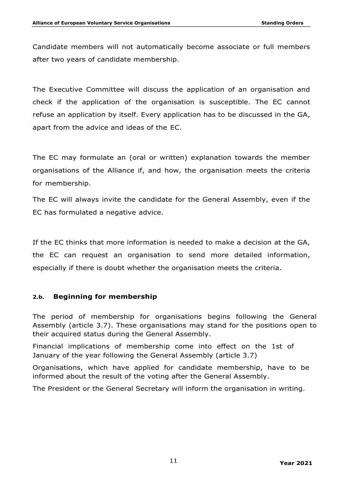Candidate members will not automatically become associate or full members after two years of candidate membership.

The Executive Committee will discuss the application of an organisation and check if the application of the organisation is susceptible. The EC cannot refuse an application by itself. Every application has to be discussed in the GA, apart from the advice and ideas of the EC.

The EC may formulate an (oral or written) explanation towards the member organisations of the Alliance if, and how, the organisation meets the criteria for membership.

The EC will always invite the candidate for the General Assembly, even if the EC has formulated a negative advice.

If the EC thinks that more information is needed to make a decision at the GA, the EC can request an organisation to send more detailed information, especially if there is doubt whether the organisation meets the criteria.

## **2.b. Beginning for membership**

The period of membership for organisations begins following the General Assembly (article 3.7). These organisations may stand for the positions open to their acquired status during the General Assembly.

Financial implications of membership come into effect on the 1st of January of the year following the General Assembly (article 3.7)

Organisations, which have applied for candidate membership, have to be informed about the result of the voting after the General Assembly.

The President or the General Secretary will inform the organisation in writing.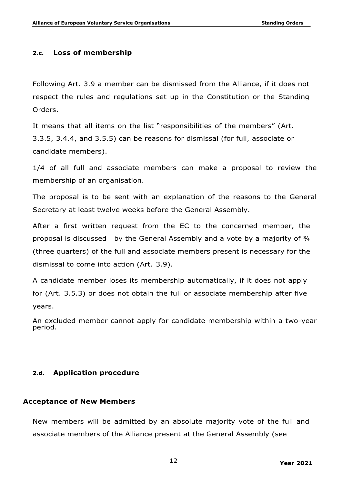#### **2.c. Loss of membership**

Following Art. 3.9 a member can be dismissed from the Alliance, if it does not respect the rules and regulations set up in the Constitution or the Standing Orders.

It means that all items on the list "responsibilities of the members" (Art. 3.3.5, 3.4.4, and 3.5.5) can be reasons for dismissal (for full, associate or candidate members).

1/4 of all full and associate members can make a proposal to review the membership of an organisation.

The proposal is to be sent with an explanation of the reasons to the General Secretary at least twelve weeks before the General Assembly.

After a first written request from the EC to the concerned member, the proposal is discussed by the General Assembly and a vote by a majority of ¾ (three quarters) of the full and associate members present is necessary for the dismissal to come into action (Art. 3.9).

A candidate member loses its membership automatically, if it does not apply for (Art. 3.5.3) or does not obtain the full or associate membership after five years.

An excluded member cannot apply for candidate membership within a two-year period.

#### **2.d. Application procedure**

#### **Acceptance of New Members**

New members will be admitted by an absolute majority vote of the full and associate members of the Alliance present at the General Assembly (see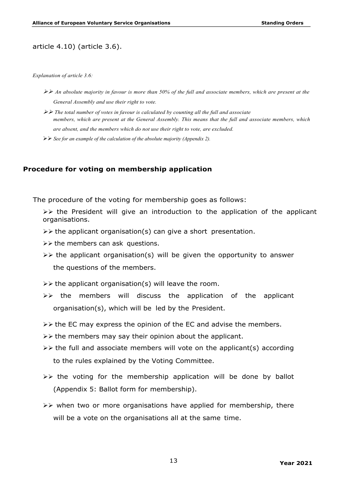#### article 4.10) (article 3.6).

#### *Explanation of article 3.6:*

- ØØ *An absolute majority in favour is more than 50% of the full and associate members, which are present at the General Assembly and use their right to vote.*
- ØØ *The total number of votes in favour is calculated by counting all the full and associate members, which are present at the General Assembly. This means that the full and associate members, which are absent, and the members which do not use their right to vote, are excluded.*
- ØØ *See for an example of the calculation of the absolute majority (Appendix 2).*

#### **Procedure for voting on membership application**

The procedure of the voting for membership goes as follows:

 $\triangleright\triangleright$  the President will give an introduction to the application of the applicant organisations.

- $\triangleright\triangleright$  the applicant organisation(s) can give a short presentation.
- $\triangleright\triangleright$  the members can ask questions.
- $\triangleright\triangleright$  the applicant organisation(s) will be given the opportunity to answer the questions of the members.
- $\triangleright\triangleright$  the applicant organisation(s) will leave the room.
- $\triangleright\triangleright$  the members will discuss the application of the applicant organisation(s), which will be led by the President.
- $\triangleright\triangleright$  the EC may express the opinion of the EC and advise the members.
- $\triangleright\triangleright$  the members may say their opinion about the applicant.
- $\triangleright\triangleright$  the full and associate members will vote on the applicant(s) according to the rules explained by the Voting Committee.
- $\triangleright\triangleright$  the voting for the membership application will be done by ballot (Appendix 5: Ballot form for membership).
- $\triangleright\triangleright$  when two or more organisations have applied for membership, there will be a vote on the organisations all at the same time.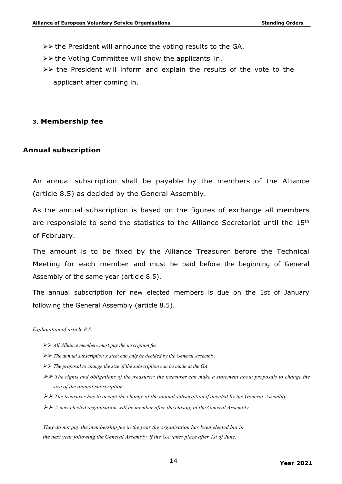- $\triangleright\triangleright$  the President will announce the voting results to the GA.
- $\triangleright\triangleright$  the Voting Committee will show the applicants in.
- $\triangleright\triangleright$  the President will inform and explain the results of the vote to the applicant after coming in.

#### **3. Membership fee**

#### **Annual subscription**

An annual subscription shall be payable by the members of the Alliance (article 8.5) as decided by the General Assembly.

As the annual subscription is based on the figures of exchange all members are responsible to send the statistics to the Alliance Secretariat until the 15<sup>th</sup> of February.

The amount is to be fixed by the Alliance Treasurer before the Technical Meeting for each member and must be paid before the beginning of General Assembly of the same year (article 8.5).

The annual subscription for new elected members is due on the 1st of January following the General Assembly (article 8.5).

#### *Explanation of article 8.5:*

- ØØ *All Alliance members must pay the inscription fee.*
- ØØ *The annual subscription system can only be decided by the General Assembly.*
- $\triangleright\triangleright$  *The proposal to change the size of the subscription can be made at the GA.*
- ØØ *The rights and obligations of the treasurer: the treasurer can make a statement about proposals to change the size of the annual subscription.*
- ØØ *The treasurer has to accept the change of the annual subscription if decided by the General Assembly.*
- ØØ *A new elected organisation will be member after the closing of the General Assembly.*

*They do not pay the membership fee in the year the organisation has been elected but in the next year following the General Assembly, if the GA takes place after 1st of June.*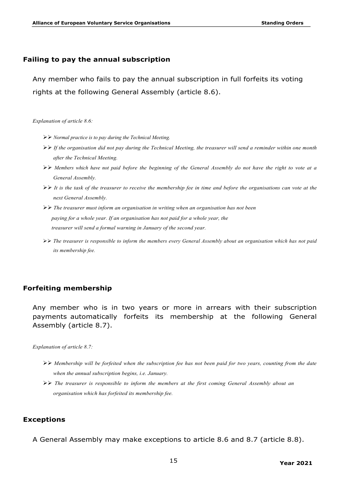#### **Failing to pay the annual subscription**

Any member who fails to pay the annual subscription in full forfeits its voting rights at the following General Assembly (article 8.6).

*Explanation of article 8.6:*

- ØØ *Normal practice is to pay during the Technical Meeting.*
- ØØ *If the organisation did not pay during the Technical Meeting, the treasurer will send a reminder within one month after the Technical Meeting.*
- ØØ *Members which have not paid before the beginning of the General Assembly do not have the right to vote at a General Assembly.*
- ØØ *It is the task of the treasurer to receive the membership fee in time and before the organisations can vote at the next General Assembly.*
- ØØ *The treasurer must inform an organisation in writing when an organisation has not been paying for a whole year. If an organisation has not paid for a whole year, the treasurer will send a formal warning in January of the second year.*
- ØØ *The treasurer is responsible to inform the members every General Assembly about an organisation which has not paid its membership fee.*

#### **Forfeiting membership**

Any member who is in two years or more in arrears with their subscription payments automatically forfeits its membership at the following General Assembly (article 8.7).

*Explanation of article 8.7:*

- ØØ *Membership will be forfeited when the subscription fee has not been paid for two years, counting from the date when the annual subscription begins, i.e. January.*
- ØØ *The treasurer is responsible to inform the members at the first coming General Assembly about an organisation which has forfeited its membership fee.*

#### **Exceptions**

A General Assembly may make exceptions to article 8.6 and 8.7 (article 8.8).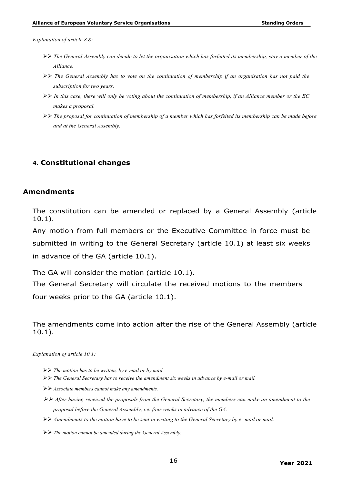*Explanation of article 8.8:*

- ØØ *The General Assembly can decide to let the organisation which has forfeited its membership, stay a member of the Alliance.*
- ØØ *The General Assembly has to vote on the continuation of membership if an organisation has not paid the subscription for two years.*
- ØØ *In this case, there will only be voting about the continuation of membership, if an Alliance member or the EC makes a proposal.*
- ØØ *The proposal for continuation of membership of a member which has forfeited its membership can be made before and at the General Assembly.*

#### **4. Constitutional changes**

#### **Amendments**

The constitution can be amended or replaced by a General Assembly (article 10.1).

Any motion from full members or the Executive Committee in force must be submitted in writing to the General Secretary (article 10.1) at least six weeks in advance of the GA (article 10.1).

The GA will consider the motion (article 10.1).

The General Secretary will circulate the received motions to the members four weeks prior to the GA (article 10.1).

The amendments come into action after the rise of the General Assembly (article 10.1).

*Explanation of article 10.1:*

- ØØ *The motion has to be written, by e-mail or by mail.*
- ØØ *The General Secretary has to receive the amendment six weeks in advance by e-mail or mail.*
- ØØ *Associate members cannot make any amendments.*
- ØØ *After having received the proposals from the General Secretary, the members can make an amendment to the proposal before the General Assembly, i.e. four weeks in advance of the GA.*
- ØØ *Amendments to the motion have to be sent in writing to the General Secretary by e- mail or mail.*
- ØØ *The motion cannot be amended during the General Assembly.*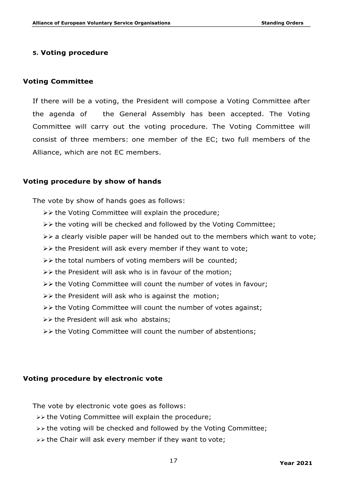### **5. Voting procedure**

#### **Voting Committee**

If there will be a voting, the President will compose a Voting Committee after the agenda of the General Assembly has been accepted. The Voting Committee will carry out the voting procedure. The Voting Committee will consist of three members: one member of the EC; two full members of the Alliance, which are not EC members.

#### **Voting procedure by show of hands**

The vote by show of hands goes as follows:

- $\triangleright\triangleright$  the Voting Committee will explain the procedure;
- $\triangleright\triangleright$  the voting will be checked and followed by the Voting Committee;
- $\triangleright\triangleright$  a clearly visible paper will be handed out to the members which want to vote;
- $\triangleright\triangleright$  the President will ask every member if they want to vote;
- $\triangleright\triangleright$  the total numbers of voting members will be counted;
- $\triangleright\triangleright$  the President will ask who is in favour of the motion;
- $\triangleright\triangleright$  the Voting Committee will count the number of votes in favour;
- $\triangleright\triangleright$  the President will ask who is against the motion;
- $\triangleright\triangleright$  the Voting Committee will count the number of votes against;
- $\triangleright\triangleright$  the President will ask who abstains;
- $\triangleright\triangleright$  the Voting Committee will count the number of abstentions;

#### **Voting procedure by electronic vote**

The vote by electronic vote goes as follows:

- $\gg$  the Voting Committee will explain the procedure;
- $\rightarrow$  the voting will be checked and followed by the Voting Committee;
- **EV** the Chair will ask every member if they want to vote;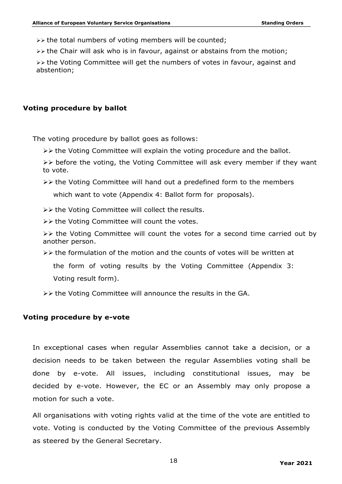$\gg$  the total numbers of voting members will be counted;

**EVA the Chair will ask who is in favour, against or abstains from the motion;** 

 $\rightarrow$  the Voting Committee will get the numbers of votes in favour, against and abstention;

#### **Voting procedure by ballot**

The voting procedure by ballot goes as follows:

 $\triangleright\triangleright$  the Voting Committee will explain the voting procedure and the ballot.

 $\triangleright\triangleright$  before the voting, the Voting Committee will ask every member if they want to vote.

- $\triangleright\triangleright$  the Voting Committee will hand out a predefined form to the members which want to vote (Appendix 4: Ballot form for proposals).
- $\triangleright\triangleright$  the Voting Committee will collect the results.
- $\triangleright\triangleright$  the Voting Committee will count the votes.

 $\triangleright\triangleright$  the Voting Committee will count the votes for a second time carried out by another person.

- $\triangleright\triangleright$  the formulation of the motion and the counts of votes will be written at the form of voting results by the Voting Committee (Appendix 3: Voting result form).
- $\triangleright\triangleright$  the Voting Committee will announce the results in the GA.

#### **Voting procedure by e-vote**

In exceptional cases when regular Assemblies cannot take a decision, or a decision needs to be taken between the regular Assemblies voting shall be done by e-vote. All issues, including constitutional issues, may be decided by e-vote. However, the EC or an Assembly may only propose a motion for such a vote.

All organisations with voting rights valid at the time of the vote are entitled to vote. Voting is conducted by the Voting Committee of the previous Assembly as steered by the General Secretary.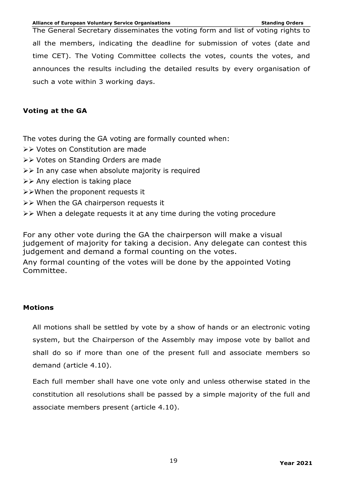The General Secretary disseminates the voting form and list of voting rights to all the members, indicating the deadline for submission of votes (date and time CET). The Voting Committee collects the votes, counts the votes, and announces the results including the detailed results by every organisation of such a vote within 3 working days.

## **Voting at the GA**

The votes during the GA voting are formally counted when:

- ØØ Votes on Constitution are made
- ØØ Votes on Standing Orders are made
- $\triangleright\triangleright$  In any case when absolute majority is required
- $\triangleright\triangleright$  Any election is taking place
- ØØWhen the proponent requests it
- $\triangleright\triangleright$  When the GA chairperson requests it
- $\triangleright\triangleright$  When a delegate requests it at any time during the voting procedure

For any other vote during the GA the chairperson will make a visual judgement of majority for taking a decision. Any delegate can contest this judgement and demand a formal counting on the votes.

Any formal counting of the votes will be done by the appointed Voting Committee.

## **Motions**

All motions shall be settled by vote by a show of hands or an electronic voting system, but the Chairperson of the Assembly may impose vote by ballot and shall do so if more than one of the present full and associate members so demand (article 4.10).

Each full member shall have one vote only and unless otherwise stated in the constitution all resolutions shall be passed by a simple majority of the full and associate members present (article 4.10).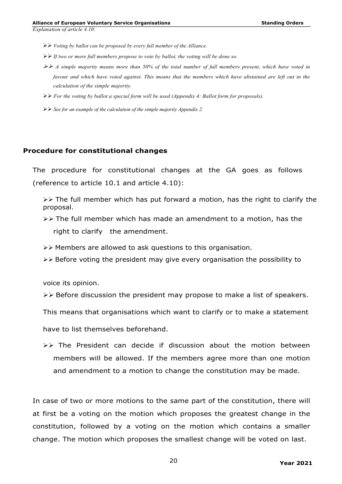*Explanation of article 4.10:*

- ØØ *Voting by ballot can be proposed by every full member of the Alliance.*
- ØØ *If two or more full members propose to vote by ballot, the voting will be done so.*
- ØØ *A simple majority means more than 50% of the total number of full members present, which have voted in favour and which have voted against. This means that the members which have abstained are left out in the calculation of the simple majority.*
- ØØ *For the voting by ballot a special form will be used (Appendix 4: Ballot form for proposals).*
- ØØ *See for an example of the calculation of the simple majority Appendix 2.*

#### **Procedure for constitutional changes**

The procedure for constitutional changes at the GA goes as follows (reference to article 10.1 and article 4.10):

 $\triangleright\triangleright$  The full member which has put forward a motion, has the right to clarify the proposal.

- $\triangleright\triangleright$  The full member which has made an amendment to a motion, has the right to clarify the amendment.
- $\triangleright\triangleright$  Members are allowed to ask questions to this organisation.
- $\triangleright\triangleright$  Before voting the president may give every organisation the possibility to

voice its opinion.

- $\triangleright\triangleright$  Before discussion the president may propose to make a list of speakers.
- This means that organisations which want to clarify or to make a statement

have to list themselves beforehand.

 $\triangleright$  The President can decide if discussion about the motion between members will be allowed. If the members agree more than one motion and amendment to a motion to change the constitution may be made.

In case of two or more motions to the same part of the constitution, there will at first be a voting on the motion which proposes the greatest change in the constitution, followed by a voting on the motion which contains a smaller change. The motion which proposes the smallest change will be voted on last.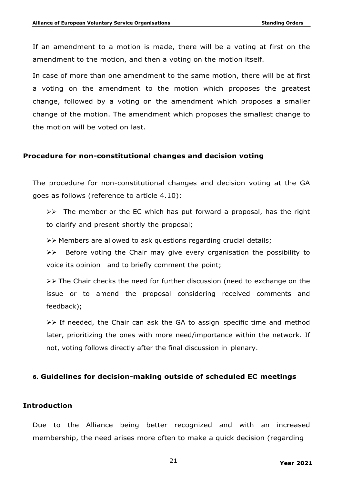If an amendment to a motion is made, there will be a voting at first on the amendment to the motion, and then a voting on the motion itself.

In case of more than one amendment to the same motion, there will be at first a voting on the amendment to the motion which proposes the greatest change, followed by a voting on the amendment which proposes a smaller change of the motion. The amendment which proposes the smallest change to the motion will be voted on last.

#### **Procedure for non-constitutional changes and decision voting**

The procedure for non-constitutional changes and decision voting at the GA goes as follows (reference to article 4.10):

 $\triangleright\triangleright$  The member or the EC which has put forward a proposal, has the right to clarify and present shortly the proposal;

 $\triangleright\triangleright$  Members are allowed to ask questions regarding crucial details;

 $\triangleright\triangleright$  Before voting the Chair may give every organisation the possibility to voice its opinion and to briefly comment the point;

 $\triangleright\triangleright$  The Chair checks the need for further discussion (need to exchange on the issue or to amend the proposal considering received comments and feedback);

 $\triangleright\triangleright$  If needed, the Chair can ask the GA to assign specific time and method later, prioritizing the ones with more need/importance within the network. If not, voting follows directly after the final discussion in plenary.

#### **6. Guidelines for decision-making outside of scheduled EC meetings**

#### **Introduction**

Due to the Alliance being better recognized and with an increased membership, the need arises more often to make a quick decision (regarding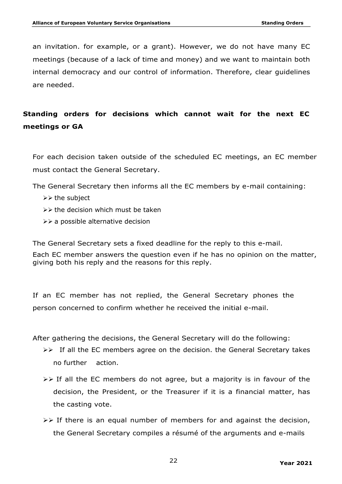an invitation. for example, or a grant). However, we do not have many EC meetings (because of a lack of time and money) and we want to maintain both internal democracy and our control of information. Therefore, clear guidelines are needed.

# **Standing orders for decisions which cannot wait for the next EC meetings or GA**

For each decision taken outside of the scheduled EC meetings, an EC member must contact the General Secretary.

The General Secretary then informs all the EC members by e-mail containing:

- $\triangleright\triangleright$  the subject
- $\triangleright\triangleright$  the decision which must be taken
- $\triangleright\triangleright$  a possible alternative decision

The General Secretary sets a fixed deadline for the reply to this e-mail.

Each EC member answers the question even if he has no opinion on the matter, giving both his reply and the reasons for this reply.

If an EC member has not replied, the General Secretary phones the person concerned to confirm whether he received the initial e-mail.

After gathering the decisions, the General Secretary will do the following:

- $\triangleright\triangleright$  If all the EC members agree on the decision. the General Secretary takes no further action.
- $\triangleright\triangleright$  If all the EC members do not agree, but a majority is in favour of the decision, the President, or the Treasurer if it is a financial matter, has the casting vote.
- $\triangleright\triangleright$  If there is an equal number of members for and against the decision, the General Secretary compiles a résumé of the arguments and e-mails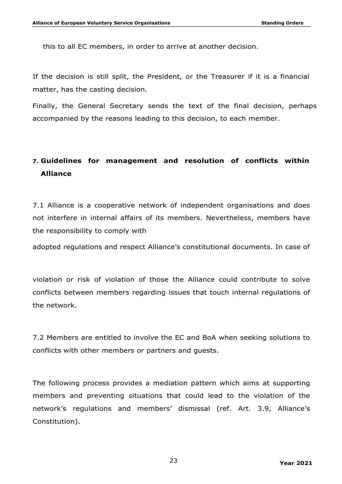this to all EC members, in order to arrive at another decision.

If the decision is still split, the President, or the Treasurer if it is a financial matter, has the casting decision.

Finally, the General Secretary sends the text of the final decision, perhaps accompanied by the reasons leading to this decision, to each member.

# **7. Guidelines for management and resolution of conflicts within Alliance**

7.1 Alliance is a cooperative network of independent organisations and does not interfere in internal affairs of its members. Nevertheless, members have the responsibility to comply with

adopted regulations and respect Alliance's constitutional documents. In case of

violation or risk of violation of those the Alliance could contribute to solve conflicts between members regarding issues that touch internal regulations of the network.

7.2 Members are entitled to involve the EC and BoA when seeking solutions to conflicts with other members or partners and guests.

The following process provides a mediation pattern which aims at supporting members and preventing situations that could lead to the violation of the network's regulations and members' dismissal (ref. Art. 3.9, Alliance's Constitution).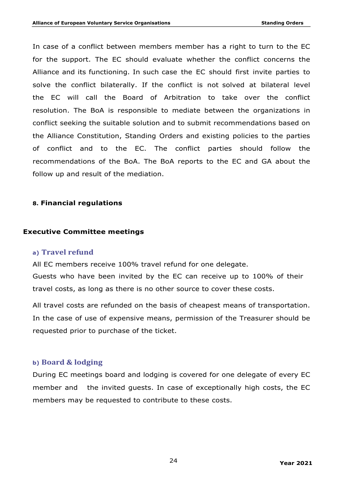In case of a conflict between members member has a right to turn to the EC for the support. The EC should evaluate whether the conflict concerns the Alliance and its functioning. In such case the EC should first invite parties to solve the conflict bilaterally. If the conflict is not solved at bilateral level the EC will call the Board of Arbitration to take over the conflict resolution. The BoA is responsible to mediate between the organizations in conflict seeking the suitable solution and to submit recommendations based on the Alliance Constitution, Standing Orders and existing policies to the parties of conflict and to the EC. The conflict parties should follow the recommendations of the BoA. The BoA reports to the EC and GA about the follow up and result of the mediation.

## **8. Financial regulations**

#### **Executive Committee meetings**

#### **a) Travel refund**

All EC members receive 100% travel refund for one delegate.

Guests who have been invited by the EC can receive up to 100% of their travel costs, as long as there is no other source to cover these costs.

All travel costs are refunded on the basis of cheapest means of transportation. In the case of use of expensive means, permission of the Treasurer should be requested prior to purchase of the ticket.

#### **b) Board & lodging**

During EC meetings board and lodging is covered for one delegate of every EC member and the invited guests. In case of exceptionally high costs, the EC members may be requested to contribute to these costs.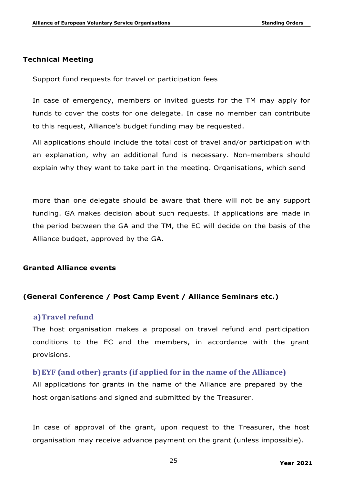## **Technical Meeting**

Support fund requests for travel or participation fees

In case of emergency, members or invited guests for the TM may apply for funds to cover the costs for one delegate. In case no member can contribute to this request, Alliance's budget funding may be requested.

All applications should include the total cost of travel and/or participation with an explanation, why an additional fund is necessary. Non-members should explain why they want to take part in the meeting. Organisations, which send

more than one delegate should be aware that there will not be any support funding. GA makes decision about such requests. If applications are made in the period between the GA and the TM, the EC will decide on the basis of the Alliance budget, approved by the GA.

#### **Granted Alliance events**

## **(General Conference / Post Camp Event / Alliance Seminars etc.)**

## **a)Travel refund**

The host organisation makes a proposal on travel refund and participation conditions to the EC and the members, in accordance with the grant provisions.

#### **b)** EYF (and other) grants (if applied for in the name of the Alliance)

All applications for grants in the name of the Alliance are prepared by the host organisations and signed and submitted by the Treasurer.

In case of approval of the grant, upon request to the Treasurer, the host organisation may receive advance payment on the grant (unless impossible).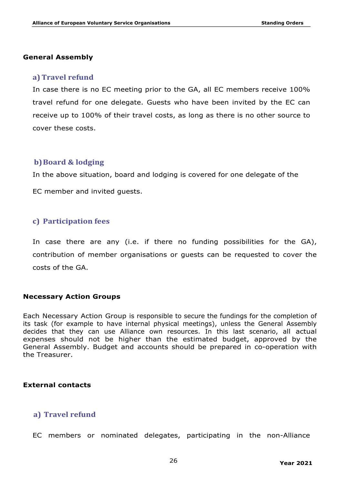#### **General Assembly**

#### **a)** Travel refund

In case there is no EC meeting prior to the GA, all EC members receive 100% travel refund for one delegate. Guests who have been invited by the EC can receive up to 100% of their travel costs, as long as there is no other source to cover these costs.

#### **b)Board & lodging**

In the above situation, board and lodging is covered for one delegate of the

EC member and invited guests.

#### **c) Participation fees**

In case there are any (i.e. if there no funding possibilities for the GA), contribution of member organisations or guests can be requested to cover the costs of the GA.

#### **Necessary Action Groups**

Each Necessary Action Group is responsible to secure the fundings for the completion of its task (for example to have internal physical meetings), unless the General Assembly decides that they can use Alliance own resources. In this last scenario, all actual expenses should not be higher than the estimated budget, approved by the General Assembly. Budget and accounts should be prepared in co-operation with the Treasurer.

#### **External contacts**

## **a) Travel refund**

EC members or nominated delegates, participating in the non-Alliance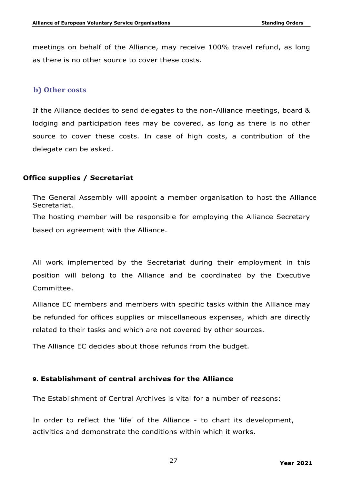meetings on behalf of the Alliance, may receive 100% travel refund, as long as there is no other source to cover these costs.

### **b) Other costs**

If the Alliance decides to send delegates to the non-Alliance meetings, board & lodging and participation fees may be covered, as long as there is no other source to cover these costs. In case of high costs, a contribution of the delegate can be asked.

## **Office supplies / Secretariat**

The General Assembly will appoint a member organisation to host the Alliance Secretariat.

The hosting member will be responsible for employing the Alliance Secretary based on agreement with the Alliance.

All work implemented by the Secretariat during their employment in this position will belong to the Alliance and be coordinated by the Executive Committee.

Alliance EC members and members with specific tasks within the Alliance may be refunded for offices supplies or miscellaneous expenses, which are directly related to their tasks and which are not covered by other sources.

The Alliance EC decides about those refunds from the budget.

#### **9. Establishment of central archives for the Alliance**

The Establishment of Central Archives is vital for a number of reasons:

In order to reflect the 'life' of the Alliance - to chart its development, activities and demonstrate the conditions within which it works.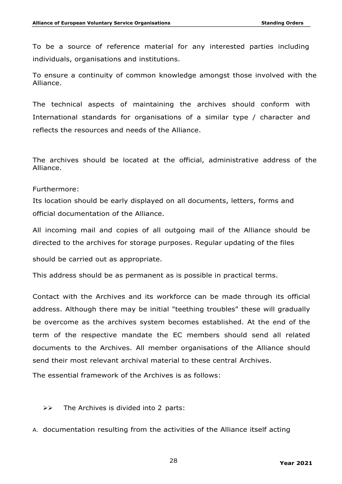To be a source of reference material for any interested parties including individuals, organisations and institutions.

To ensure a continuity of common knowledge amongst those involved with the Alliance.

The technical aspects of maintaining the archives should conform with International standards for organisations of a similar type / character and reflects the resources and needs of the Alliance.

The archives should be located at the official, administrative address of the Alliance.

#### Furthermore:

Its location should be early displayed on all documents, letters, forms and official documentation of the Alliance.

All incoming mail and copies of all outgoing mail of the Alliance should be directed to the archives for storage purposes. Regular updating of the files

should be carried out as appropriate.

This address should be as permanent as is possible in practical terms.

Contact with the Archives and its workforce can be made through its official address. Although there may be initial "teething troubles" these will gradually be overcome as the archives system becomes established. At the end of the term of the respective mandate the EC members should send all related documents to the Archives. All member organisations of the Alliance should send their most relevant archival material to these central Archives.

The essential framework of the Archives is as follows:

 $\triangleright\triangleright$  The Archives is divided into 2 parts:

A. documentation resulting from the activities of the Alliance itself acting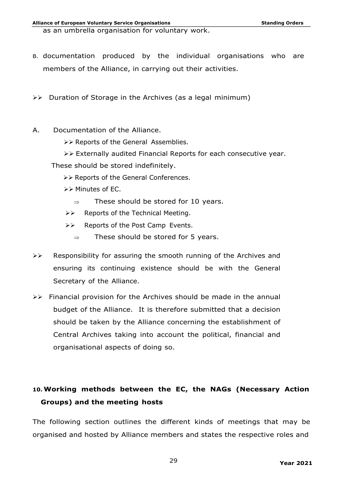as an umbrella organisation for voluntary work.

- B. documentation produced by the individual organisations who are members of the Alliance, in carrying out their activities.
- $\triangleright\triangleright$  Duration of Storage in the Archives (as a legal minimum)
- A. Documentation of the Alliance.
	- ØØ Reports of the General Assemblies.
	- ØØ Externally audited Financial Reports for each consecutive year.
	- These should be stored indefinitely.
		- ØØ Reports of the General Conferences.
		- ØØ Minutes of EC.
			- $\Rightarrow$  These should be stored for 10 years.
		- $\triangleright\triangleright$  Reports of the Technical Meeting.
		- ØØ Reports of the Post Camp Events.
			- $\Rightarrow$  These should be stored for 5 years.
- $\triangleright\triangleright$  Responsibility for assuring the smooth running of the Archives and ensuring its continuing existence should be with the General Secretary of the Alliance.
- $\triangleright\triangleright$  Financial provision for the Archives should be made in the annual budget of the Alliance. It is therefore submitted that a decision should be taken by the Alliance concerning the establishment of Central Archives taking into account the political, financial and organisational aspects of doing so.

# **10. Working methods between the EC, the NAGs (Necessary Action Groups) and the meeting hosts**

The following section outlines the different kinds of meetings that may be organised and hosted by Alliance members and states the respective roles and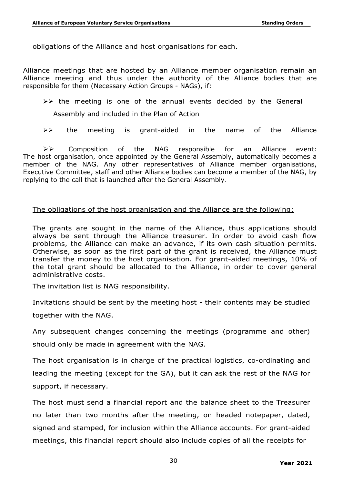obligations of the Alliance and host organisations for each.

Alliance meetings that are hosted by an Alliance member organisation remain an Alliance meeting and thus under the authority of the Alliance bodies that are responsible for them (Necessary Action Groups - NAGs), if:

 $\triangleright\triangleright$  the meeting is one of the annual events decided by the General

Assembly and included in the Plan of Action

 $\triangleright\triangleright$  the meeting is grant-aided in the name of the Alliance

 $\triangleright\triangleright$  Composition of the NAG responsible for an Alliance event: The host organisation, once appointed by the General Assembly, automatically becomes a member of the NAG. Any other representatives of Alliance member organisations, Executive Committee, staff and other Alliance bodies can become a member of the NAG, by replying to the call that is launched after the General Assembly.

#### The obligations of the host organisation and the Alliance are the following:

The grants are sought in the name of the Alliance, thus applications should always be sent through the Alliance treasurer. In order to avoid cash flow problems, the Alliance can make an advance, if its own cash situation permits. Otherwise, as soon as the first part of the grant is received, the Alliance must transfer the money to the host organisation. For grant-aided meetings, 10% of the total grant should be allocated to the Alliance, in order to cover general administrative costs.

The invitation list is NAG responsibility.

Invitations should be sent by the meeting host - their contents may be studied

together with the NAG.

Any subsequent changes concerning the meetings (programme and other) should only be made in agreement with the NAG.

The host organisation is in charge of the practical logistics, co-ordinating and leading the meeting (except for the GA), but it can ask the rest of the NAG for support, if necessary.

The host must send a financial report and the balance sheet to the Treasurer no later than two months after the meeting, on headed notepaper, dated, signed and stamped, for inclusion within the Alliance accounts. For grant-aided meetings, this financial report should also include copies of all the receipts for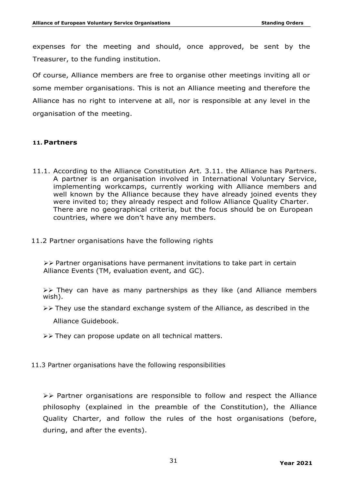expenses for the meeting and should, once approved, be sent by the Treasurer, to the funding institution.

Of course, Alliance members are free to organise other meetings inviting all or some member organisations. This is not an Alliance meeting and therefore the Alliance has no right to intervene at all, nor is responsible at any level in the organisation of the meeting.

## **11. Partners**

- 11.1. According to the Alliance Constitution Art. 3.11. the Alliance has Partners. A partner is an organisation involved in International Voluntary Service, implementing workcamps, currently working with Alliance members and well known by the Alliance because they have already joined events they were invited to; they already respect and follow Alliance Quality Charter. There are no geographical criteria, but the focus should be on European countries, where we don't have any members.
- 11.2 Partner organisations have the following rights

 $\triangleright\triangleright$  Partner organisations have permanent invitations to take part in certain Alliance Events (TM, evaluation event, and GC).

 $\triangleright\triangleright$  They can have as many partnerships as they like (and Alliance members wish).

 $\triangleright\triangleright$  They use the standard exchange system of the Alliance, as described in the

Alliance Guidebook.

- $\triangleright\triangleright$  They can propose update on all technical matters.
- 11.3 Partner organisations have the following responsibilities

 $\triangleright\triangleright$  Partner organisations are responsible to follow and respect the Alliance philosophy (explained in the preamble of the Constitution), the Alliance Quality Charter, and follow the rules of the host organisations (before, during, and after the events).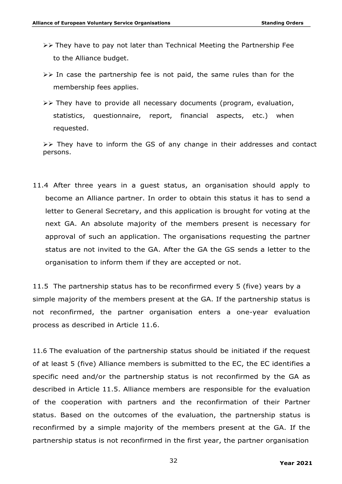- $\triangleright\triangleright$  They have to pay not later than Technical Meeting the Partnership Fee to the Alliance budget.
- $\triangleright\triangleright$  In case the partnership fee is not paid, the same rules than for the membership fees applies.
- $\triangleright\triangleright$  They have to provide all necessary documents (program, evaluation, statistics, questionnaire, report, financial aspects, etc.) when requested.

 $\triangleright\triangleright$  They have to inform the GS of any change in their addresses and contact persons.

11.4 After three years in a guest status, an organisation should apply to become an Alliance partner. In order to obtain this status it has to send a letter to General Secretary, and this application is brought for voting at the next GA. An absolute majority of the members present is necessary for approval of such an application. The organisations requesting the partner status are not invited to the GA. After the GA the GS sends a letter to the organisation to inform them if they are accepted or not.

11.5 The partnership status has to be reconfirmed every 5 (five) years by a simple majority of the members present at the GA. If the partnership status is not reconfirmed, the partner organisation enters a one-year evaluation process as described in Article 11.6.

11.6 The evaluation of the partnership status should be initiated if the request of at least 5 (five) Alliance members is submitted to the EC, the EC identifies a specific need and/or the partnership status is not reconfirmed by the GA as described in Article 11.5. Alliance members are responsible for the evaluation of the cooperation with partners and the reconfirmation of their Partner status. Based on the outcomes of the evaluation, the partnership status is reconfirmed by a simple majority of the members present at the GA. If the partnership status is not reconfirmed in the first year, the partner organisation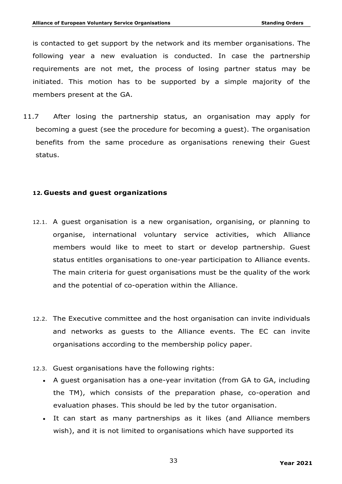is contacted to get support by the network and its member organisations. The following year a new evaluation is conducted. In case the partnership requirements are not met, the process of losing partner status may be initiated. This motion has to be supported by a simple majority of the members present at the GA.

11.7 After losing the partnership status, an organisation may apply for becoming a guest (see the procedure for becoming a guest). The organisation benefits from the same procedure as organisations renewing their Guest status.

## **12. Guests and guest organizations**

- 12.1. A guest organisation is a new organisation, organising, or planning to organise, international voluntary service activities, which Alliance members would like to meet to start or develop partnership. Guest status entitles organisations to one-year participation to Alliance events. The main criteria for guest organisations must be the quality of the work and the potential of co-operation within the Alliance.
- 12.2. The Executive committee and the host organisation can invite individuals and networks as guests to the Alliance events. The EC can invite organisations according to the membership policy paper.
- 12.3. Guest organisations have the following rights:
	- A guest organisation has a one-year invitation (from GA to GA, including the TM), which consists of the preparation phase, co-operation and evaluation phases. This should be led by the tutor organisation.
	- It can start as many partnerships as it likes (and Alliance members wish), and it is not limited to organisations which have supported its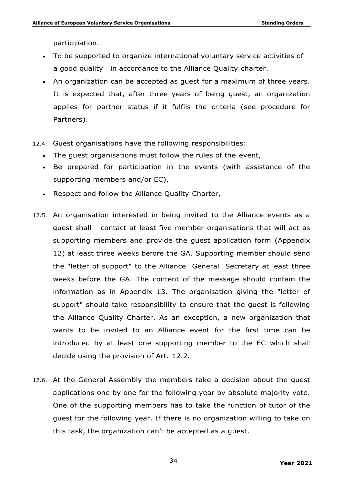participation.

- To be supported to organize international voluntary service activities of a good quality in accordance to the Alliance Quality charter.
- An organization can be accepted as guest for a maximum of three years. It is expected that, after three years of being guest, an organization applies for partner status if it fulfils the criteria (see procedure for Partners).
- 12.4. Guest organisations have the following responsibilities:
	- The guest organisations must follow the rules of the event,
	- Be prepared for participation in the events (with assistance of the supporting members and/or EC),
	- Respect and follow the Alliance Quality Charter,
- 12.5. An organisation interested in being invited to the Alliance events as a guest shall contact at least five member organisations that will act as supporting members and provide the guest application form (Appendix 12) at least three weeks before the GA. Supporting member should send the "letter of support" to the Alliance General Secretary at least three weeks before the GA. The content of the message should contain the information as in Appendix 13. The organisation giving the "letter of support" should take responsibility to ensure that the guest is following the Alliance Quality Charter. As an exception, a new organization that wants to be invited to an Alliance event for the first time can be introduced by at least one supporting member to the EC which shall decide using the provision of Art. 12.2.
- 12.6. At the General Assembly the members take a decision about the guest applications one by one for the following year by absolute majority vote. One of the supporting members has to take the function of tutor of the guest for the following year. If there is no organization willing to take on this task, the organization can't be accepted as a guest.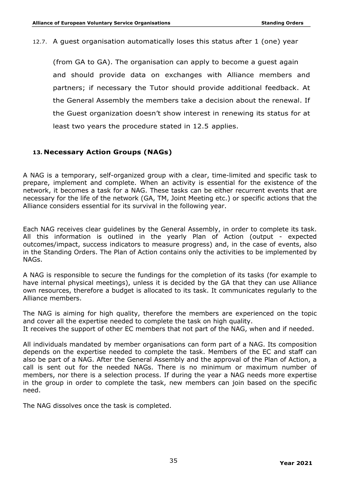#### 12.7. A guest organisation automatically loses this status after 1 (one) year

(from GA to GA). The organisation can apply to become a guest again and should provide data on exchanges with Alliance members and partners; if necessary the Tutor should provide additional feedback. At the General Assembly the members take a decision about the renewal. If the Guest organization doesn't show interest in renewing its status for at least two years the procedure stated in 12.5 applies.

## **13. Necessary Action Groups (NAGs)**

A NAG is a temporary, self-organized group with a clear, time-limited and specific task to prepare, implement and complete. When an activity is essential for the existence of the network, it becomes a task for a NAG. These tasks can be either recurrent events that are necessary for the life of the network (GA, TM, Joint Meeting etc.) or specific actions that the Alliance considers essential for its survival in the following year.

Each NAG receives clear guidelines by the General Assembly, in order to complete its task. All this information is outlined in the yearly Plan of Action (output - expected outcomes/impact, success indicators to measure progress) and, in the case of events, also in the Standing Orders. The Plan of Action contains only the activities to be implemented by NAGs.

A NAG is responsible to secure the fundings for the completion of its tasks (for example to have internal physical meetings), unless it is decided by the GA that they can use Alliance own resources, therefore a budget is allocated to its task. It communicates regularly to the Alliance members.

The NAG is aiming for high quality, therefore the members are experienced on the topic and cover all the expertise needed to complete the task on high quality. It receives the support of other EC members that not part of the NAG, when and if needed.

All individuals mandated by member organisations can form part of a NAG. Its composition depends on the expertise needed to complete the task. Members of the EC and staff can also be part of a NAG. After the General Assembly and the approval of the Plan of Action, a call is sent out for the needed NAGs. There is no minimum or maximum number of members, nor there is a selection process. If during the year a NAG needs more expertise in the group in order to complete the task, new members can join based on the specific need.

The NAG dissolves once the task is completed.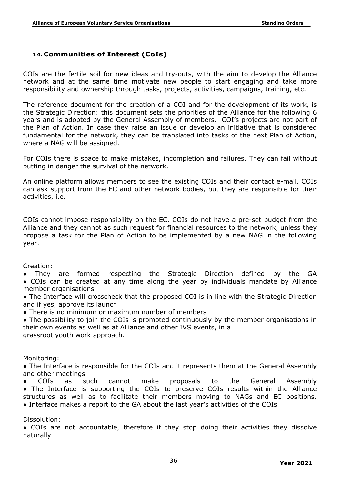# **14. Communities of Interest (CoIs)**

COIs are the fertile soil for new ideas and try-outs, with the aim to develop the Alliance network and at the same time motivate new people to start engaging and take more responsibility and ownership through tasks, projects, activities, campaigns, training, etc.

The reference document for the creation of a COI and for the development of its work, is the Strategic Direction: this document sets the priorities of the Alliance for the following 6 years and is adopted by the General Assembly of members. COI's projects are not part of the Plan of Action. In case they raise an issue or develop an initiative that is considered fundamental for the network, they can be translated into tasks of the next Plan of Action, where a NAG will be assigned.

For COIs there is space to make mistakes, incompletion and failures. They can fail without putting in danger the survival of the network.

An online platform allows members to see the existing COIs and their contact e-mail. COIs can ask support from the EC and other network bodies, but they are responsible for their activities, i.e.

COIs cannot impose responsibility on the EC. COIs do not have a pre-set budget from the Alliance and they cannot as such request for financial resources to the network, unless they propose a task for the Plan of Action to be implemented by a new NAG in the following year.

Creation:

They are formed respecting the Strategic Direction defined by the GA • COIs can be created at any time along the year by individuals mandate by Alliance member organisations

• The Interface will crosscheck that the proposed COI is in line with the Strategic Direction and if yes, approve its launch

• There is no minimum or maximum number of members

• The possibility to join the COIs is promoted continuously by the member organisations in their own events as well as at Alliance and other IVS events, in a grassroot youth work approach.

Monitoring:

• The Interface is responsible for the COIs and it represents them at the General Assembly and other meetings

COIs as such cannot make proposals to the General Assembly

• The Interface is supporting the COIs to preserve COIs results within the Alliance structures as well as to facilitate their members moving to NAGs and EC positions. ● Interface makes a report to the GA about the last year's activities of the COIs

Dissolution:

• COIs are not accountable, therefore if they stop doing their activities they dissolve naturally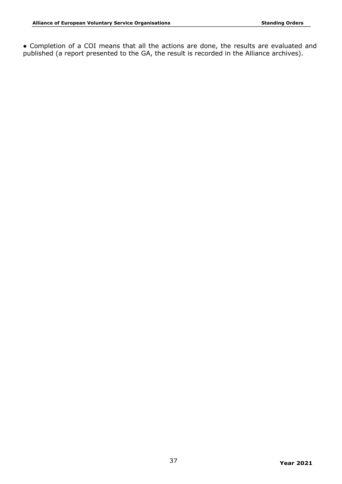● Completion of a COI means that all the actions are done, the results are evaluated and published (a report presented to the GA, the result is recorded in the Alliance archives).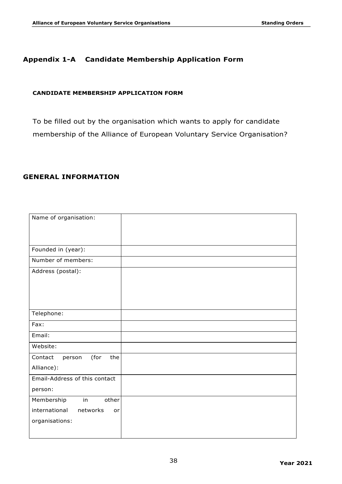## **Appendix 1-A Candidate Membership Application Form**

#### **CANDIDATE MEMBERSHIP APPLICATION FORM**

To be filled out by the organisation which wants to apply for candidate membership of the Alliance of European Voluntary Service Organisation?

## **GENERAL INFORMATION**

| Name of organisation:            |  |
|----------------------------------|--|
|                                  |  |
|                                  |  |
|                                  |  |
| Founded in (year):               |  |
| Number of members:               |  |
| Address (postal):                |  |
|                                  |  |
|                                  |  |
|                                  |  |
|                                  |  |
| Telephone:                       |  |
| Fax:                             |  |
| Email:                           |  |
| Website:                         |  |
| (for<br>the<br>Contact<br>person |  |
| Alliance):                       |  |
| Email-Address of this contact    |  |
| person:                          |  |
| Membership<br>in<br>other        |  |
| international<br>networks<br>or  |  |
| organisations:                   |  |
|                                  |  |
|                                  |  |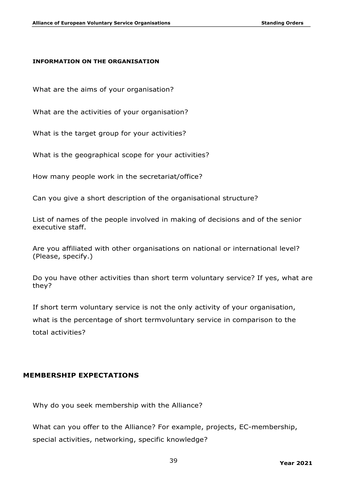#### **INFORMATION ON THE ORGANISATION**

What are the aims of your organisation?

What are the activities of your organisation?

What is the target group for your activities?

What is the geographical scope for your activities?

How many people work in the secretariat/office?

Can you give a short description of the organisational structure?

List of names of the people involved in making of decisions and of the senior executive staff.

Are you affiliated with other organisations on national or international level? (Please, specify.)

Do you have other activities than short term voluntary service? If yes, what are they?

If short term voluntary service is not the only activity of your organisation, what is the percentage of short termvoluntary service in comparison to the total activities?

#### **MEMBERSHIP EXPECTATIONS**

Why do you seek membership with the Alliance?

What can you offer to the Alliance? For example, projects, EC-membership, special activities, networking, specific knowledge?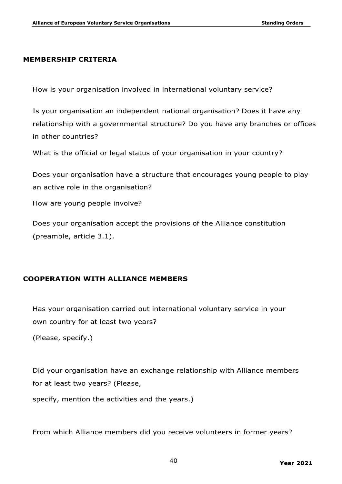#### **MEMBERSHIP CRITERIA**

How is your organisation involved in international voluntary service?

Is your organisation an independent national organisation? Does it have any relationship with a governmental structure? Do you have any branches or offices in other countries?

What is the official or legal status of your organisation in your country?

Does your organisation have a structure that encourages young people to play an active role in the organisation?

How are young people involve?

Does your organisation accept the provisions of the Alliance constitution (preamble, article 3.1).

# **COOPERATION WITH ALLIANCE MEMBERS**

Has your organisation carried out international voluntary service in your own country for at least two years?

(Please, specify.)

Did your organisation have an exchange relationship with Alliance members for at least two years? (Please,

specify, mention the activities and the years.)

From which Alliance members did you receive volunteers in former years?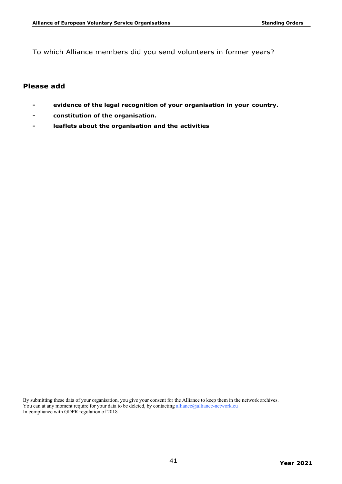To which Alliance members did you send volunteers in former years?

### **Please add**

- **- evidence of the legal recognition of your organisation in your country.**
- **- constitution of the organisation.**
- **- leaflets about the organisation and the activities**

By submitting these data of your organisation, you give your consent for the Alliance to keep them in the network archives. You can at any moment require for your data to be deleted, by contacting alliance@alliance-network.eu In compliance with GDPR regulation of 2018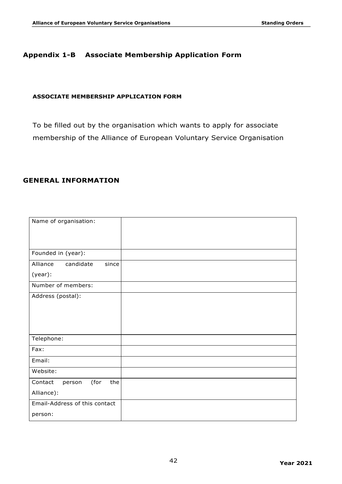## **Appendix 1-B Associate Membership Application Form**

#### **ASSOCIATE MEMBERSHIP APPLICATION FORM**

To be filled out by the organisation which wants to apply for associate membership of the Alliance of European Voluntary Service Organisation

## **GENERAL INFORMATION**

| Name of organisation:            |  |
|----------------------------------|--|
|                                  |  |
|                                  |  |
| Founded in (year):               |  |
| Alliance<br>candidate<br>since   |  |
| (year):                          |  |
| Number of members:               |  |
| Address (postal):                |  |
|                                  |  |
|                                  |  |
|                                  |  |
| Telephone:                       |  |
| Fax:                             |  |
| Email:                           |  |
| Website:                         |  |
| (for<br>the<br>Contact<br>person |  |
| Alliance):                       |  |
| Email-Address of this contact    |  |
| person:                          |  |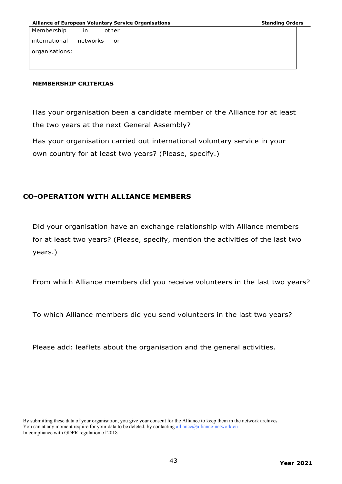| Membership     | in       | other |
|----------------|----------|-------|
| international  | networks | or    |
| organisations: |          |       |
|                |          |       |

#### **MEMBERSHIP CRITERIAS**

Has your organisation been a candidate member of the Alliance for at least the two years at the next General Assembly?

Has your organisation carried out international voluntary service in your own country for at least two years? (Please, specify.)

## **CO-OPERATION WITH ALLIANCE MEMBERS**

Did your organisation have an exchange relationship with Alliance members for at least two years? (Please, specify, mention the activities of the last two years.)

From which Alliance members did you receive volunteers in the last two years?

To which Alliance members did you send volunteers in the last two years?

Please add: leaflets about the organisation and the general activities.

By submitting these data of your organisation, you give your consent for the Alliance to keep them in the network archives. You can at any moment require for your data to be deleted, by contacting alliance@alliance-network.eu In compliance with GDPR regulation of 2018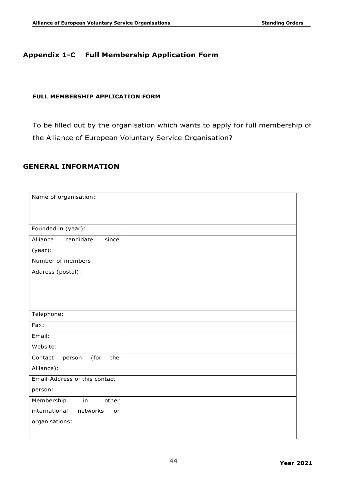# **Appendix 1-C Full Membership Application Form**

#### **FULL MEMBERSHIP APPLICATION FORM**

To be filled out by the organisation which wants to apply for full membership of the Alliance of European Voluntary Service Organisation?

#### **GENERAL INFORMATION**

| Name of organisation:            |  |
|----------------------------------|--|
|                                  |  |
|                                  |  |
| Founded in (year):               |  |
|                                  |  |
| Alliance<br>candidate<br>since   |  |
| (year):                          |  |
| Number of members:               |  |
| Address (postal):                |  |
|                                  |  |
|                                  |  |
|                                  |  |
|                                  |  |
| Telephone:                       |  |
| Fax:                             |  |
| Email:                           |  |
| Website:                         |  |
| Contact<br>(for<br>the<br>person |  |
| Alliance):                       |  |
| Email-Address of this contact    |  |
| person:                          |  |
| Membership<br>in<br>other        |  |
| international<br>networks<br>or  |  |
| organisations:                   |  |
|                                  |  |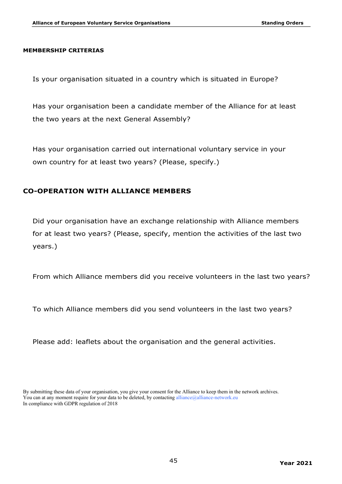#### **MEMBERSHIP CRITERIAS**

Is your organisation situated in a country which is situated in Europe?

Has your organisation been a candidate member of the Alliance for at least the two years at the next General Assembly?

Has your organisation carried out international voluntary service in your own country for at least two years? (Please, specify.)

#### **CO-OPERATION WITH ALLIANCE MEMBERS**

Did your organisation have an exchange relationship with Alliance members for at least two years? (Please, specify, mention the activities of the last two years.)

From which Alliance members did you receive volunteers in the last two years?

To which Alliance members did you send volunteers in the last two years?

Please add: leaflets about the organisation and the general activities.

By submitting these data of your organisation, you give your consent for the Alliance to keep them in the network archives. You can at any moment require for your data to be deleted, by contacting alliance@alliance-network.eu In compliance with GDPR regulation of 2018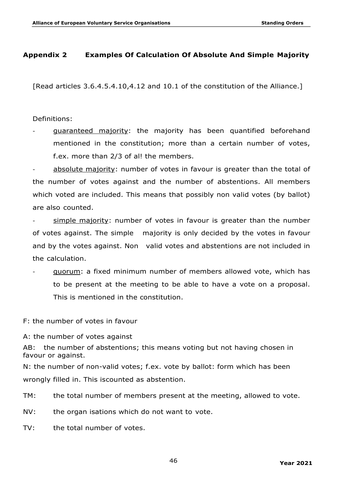## **Appendix 2 Examples Of Calculation Of Absolute And Simple Majority**

[Read articles 3.6.4.5.4.10,4.12 and 10.1 of the constitution of the Alliance.]

Definitions:

guaranteed majority: the majority has been quantified beforehand mentioned in the constitution; more than a certain number of votes, f.ex. more than 2/3 of al! the members.

absolute majority: number of votes in favour is greater than the total of the number of votes against and the number of abstentions. All members which voted are included. This means that possibly non valid votes (by ballot) are also counted.

 $simple$  majority: number of votes in favour is greater than the number of votes against. The simple majority is only decided by the votes in favour and by the votes against. Non valid votes and abstentions are not included in the calculation.

- quorum: a fixed minimum number of members allowed vote, which has to be present at the meeting to be able to have a vote on a proposal. This is mentioned in the constitution.

F: the number of votes in favour

A: the number of votes against

AB: the number of abstentions; this means voting but not having chosen in favour or against.

N: the number of non-valid votes; f.ex. vote by ballot: form which has been wrongly filled in. This iscounted as abstention.

TM: the total number of members present at the meeting, allowed to vote.

NV: the organ isations which do not want to vote.

TV: the total number of votes.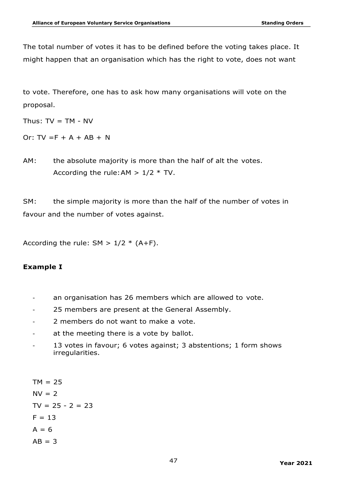The total number of votes it has to be defined before the voting takes place. It might happen that an organisation which has the right to vote, does not want

to vote. Therefore, one has to ask how many organisations will vote on the proposal.

Thus:  $TV = TM - NV$ 

Or:  $TV = F + A + AB + N$ 

AM: the absolute majority is more than the half of alt the votes. According the rule: AM  $> 1/2$  \* TV.

SM: the simple majority is more than the half of the number of votes in favour and the number of votes against.

According the rule:  $SM > 1/2 * (A+F)$ .

# **Example I**

- an organisation has 26 members which are allowed to vote.
- 25 members are present at the General Assembly.
- 2 members do not want to make a vote.
- at the meeting there is a vote by ballot.
- 13 votes in favour; 6 votes against; 3 abstentions; 1 form shows irregularities.

 $TM = 25$  $N = 2$  $TV = 25 - 2 = 23$  $F = 13$  $A = 6$  $AB = 3$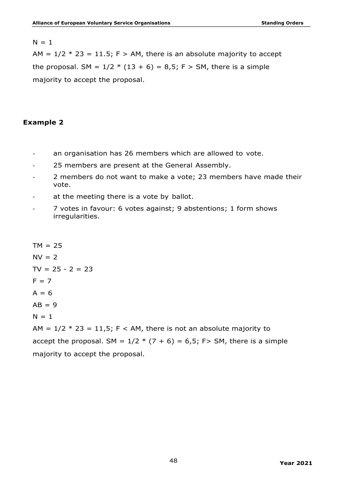#### $N = 1$

AM =  $1/2$  \* 23 = 11.5; F > AM, there is an absolute majority to accept the proposal. SM =  $1/2$  \* (13 + 6) = 8,5; F > SM, there is a simple majority to accept the proposal.

#### **Example 2**

- an organisation has 26 members which are allowed to vote.
- 25 members are present at the General Assembly.
- 2 members do not want to make a vote; 23 members have made their vote.
- at the meeting there is a vote by ballot.
- 7 votes in favour: 6 votes against; 9 abstentions; 1 form shows irregularities.

 $TM = 25$  $NV = 2$  $TV = 25 - 2 = 23$  $F = 7$  $A = 6$  $AB = 9$  $N = 1$ AM =  $1/2$  \* 23 = 11,5; F < AM, there is not an absolute majority to accept the proposal. SM =  $1/2$  \* (7 + 6) = 6,5; F > SM, there is a simple majority to accept the proposal.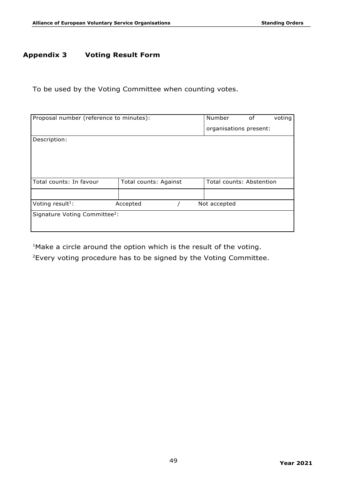# **Appendix 3 Voting Result Form**

To be used by the Voting Committee when counting votes.

| Proposal number (reference to minutes):   |                       |  | Number                 | 0f                       | voting |  |
|-------------------------------------------|-----------------------|--|------------------------|--------------------------|--------|--|
|                                           |                       |  | organisations present: |                          |        |  |
| Description:                              |                       |  |                        |                          |        |  |
|                                           |                       |  |                        |                          |        |  |
|                                           |                       |  |                        |                          |        |  |
|                                           |                       |  |                        |                          |        |  |
| Total counts: In favour                   |                       |  |                        | Total counts: Abstention |        |  |
|                                           | Total counts: Against |  |                        |                          |        |  |
|                                           |                       |  |                        |                          |        |  |
| Voting result <sup>1</sup> :              | Accepted              |  |                        | Not accepted             |        |  |
| Signature Voting Committee <sup>2</sup> : |                       |  |                        |                          |        |  |
|                                           |                       |  |                        |                          |        |  |
|                                           |                       |  |                        |                          |        |  |

<sup>1</sup>Make a circle around the option which is the result of the voting.

 $2$  Every voting procedure has to be signed by the Voting Committee.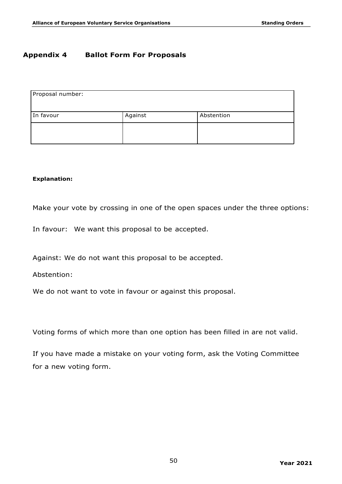## **Appendix 4 Ballot Form For Proposals**

| Proposal number: |         |            |
|------------------|---------|------------|
| In favour        | Against | Abstention |
|                  |         |            |
|                  |         |            |

#### **Explanation:**

Make your vote by crossing in one of the open spaces under the three options:

In favour: We want this proposal to be accepted.

Against: We do not want this proposal to be accepted.

Abstention:

We do not want to vote in favour or against this proposal.

Voting forms of which more than one option has been filled in are not valid.

If you have made a mistake on your voting form, ask the Voting Committee for a new voting form.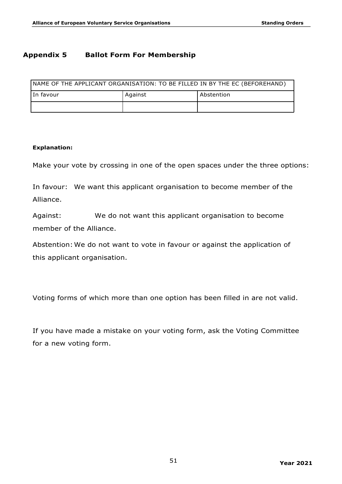# **Appendix 5 Ballot Form For Membership**

| NAME OF THE APPLICANT ORGANISATION: TO BE FILLED IN BY THE EC (BEFOREHAND) |         |              |  |
|----------------------------------------------------------------------------|---------|--------------|--|
| In favour                                                                  | Against | ' Abstention |  |
|                                                                            |         |              |  |

#### **Explanation:**

Make your vote by crossing in one of the open spaces under the three options:

In favour: We want this applicant organisation to become member of the Alliance.

Against: We do not want this applicant organisation to become member of the Alliance.

Abstention: We do not want to vote in favour or against the application of this applicant organisation.

Voting forms of which more than one option has been filled in are not valid.

If you have made a mistake on your voting form, ask the Voting Committee for a new voting form.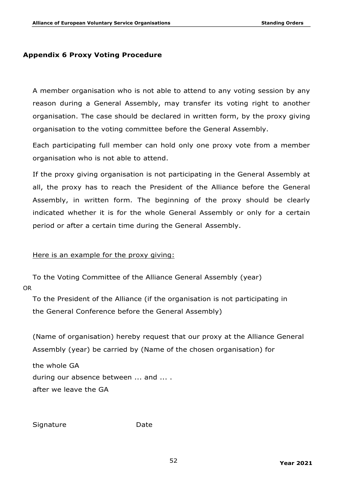### **Appendix 6 Proxy Voting Procedure**

A member organisation who is not able to attend to any voting session by any reason during a General Assembly, may transfer its voting right to another organisation. The case should be declared in written form, by the proxy giving organisation to the voting committee before the General Assembly.

Each participating full member can hold only one proxy vote from a member organisation who is not able to attend.

If the proxy giving organisation is not participating in the General Assembly at all, the proxy has to reach the President of the Alliance before the General Assembly, in written form. The beginning of the proxy should be clearly indicated whether it is for the whole General Assembly or only for a certain period or after a certain time during the General Assembly.

#### Here is an example for the proxy giving:

To the Voting Committee of the Alliance General Assembly (year) OR

To the President of the Alliance (if the organisation is not participating in the General Conference before the General Assembly)

(Name of organisation) hereby request that our proxy at the Alliance General Assembly (year) be carried by (Name of the chosen organisation) for

the whole GA during our absence between ... and ... . after we leave the GA

Signature Date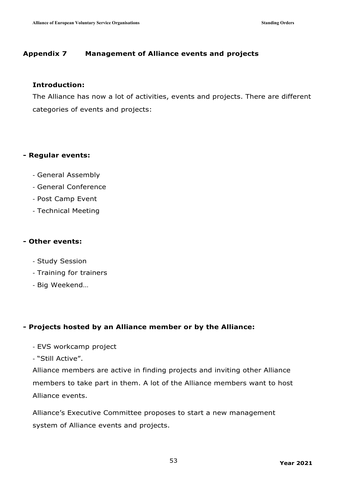# **Appendix 7 Management of Alliance events and projects**

## **Introduction:**

The Alliance has now a lot of activities, events and projects. There are different categories of events and projects:

## **- Regular events:**

- General Assembly
- General Conference
- Post Camp Event
- Technical Meeting

# **- Other events:**

- Study Session
- Training for trainers
- Big Weekend…

# **- Projects hosted by an Alliance member or by the Alliance:**

- EVS workcamp project
- "Still Active".

Alliance members are active in finding projects and inviting other Alliance members to take part in them. A lot of the Alliance members want to host Alliance events.

Alliance's Executive Committee proposes to start a new management system of Alliance events and projects.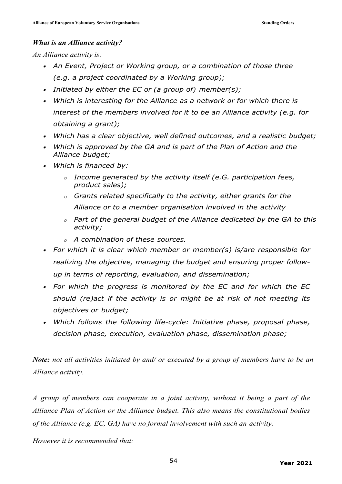#### *What is an Alliance activity?*

*An Alliance activity is:*

- *An Event, Project or Working group, or a combination of those three (e.g. a project coordinated by a Working group);*
- *Initiated by either the EC or (a group of) member(s);*
- *Which is interesting for the Alliance as a network or for which there is interest of the members involved for it to be an Alliance activity (e.g. for obtaining a grant);*
- *Which has a clear objective, well defined outcomes, and a realistic budget;*
- *Which is approved by the GA and is part of the Plan of Action and the Alliance budget;*
- *Which is financed by:*
	- *o Income generated by the activity itself (e.G. participation fees, product sales);*
	- *o Grants related specifically to the activity, either grants for the Alliance or to a member organisation involved in the activity*
	- *o Part of the general budget of the Alliance dedicated by the GA to this activity;*
	- *o A combination of these sources.*
- *For which it is clear which member or member(s) is/are responsible for realizing the objective, managing the budget and ensuring proper followup in terms of reporting, evaluation, and dissemination;*
- *For which the progress is monitored by the EC and for which the EC should (re)act if the activity is or might be at risk of not meeting its objectives or budget;*
- *Which follows the following life-cycle: Initiative phase, proposal phase, decision phase, execution, evaluation phase, dissemination phase;*

*Note: not all activities initiated by and/ or executed by a group of members have to be an Alliance activity.*

*A group of members can cooperate in a joint activity, without it being a part of the Alliance Plan of Action or the Alliance budget. This also means the constitutional bodies of the Alliance (e.g. EC, GA) have no formal involvement with such an activity.*

*However it is recommended that:*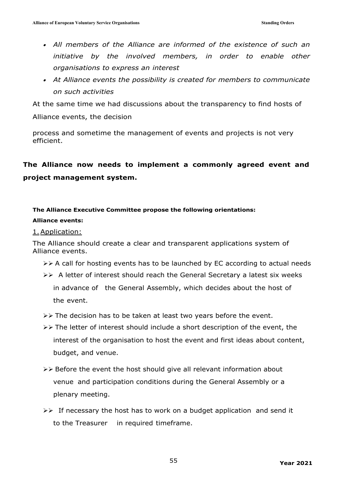- *All members of the Alliance are informed of the existence of such an initiative by the involved members, in order to enable other organisations to express an interest*
- *At Alliance events the possibility is created for members to communicate on such activities*

At the same time we had discussions about the transparency to find hosts of

Alliance events, the decision

process and sometime the management of events and projects is not very efficient.

# **The Alliance now needs to implement a commonly agreed event and project management system.**

# **The Alliance Executive Committee propose the following orientations:**

#### **Alliance events:**

#### 1.Application:

The Alliance should create a clear and transparent applications system of Alliance events.

- $\triangleright\triangleright$  A call for hosting events has to be launched by EC according to actual needs
- ØØ A letter of interest should reach the General Secretary a latest six weeks in advance of the General Assembly, which decides about the host of the event.
- $\triangleright\triangleright$  The decision has to be taken at least two years before the event.
- $\triangleright\triangleright$  The letter of interest should include a short description of the event, the interest of the organisation to host the event and first ideas about content, budget, and venue.
- $\triangleright\triangleright$  Before the event the host should give all relevant information about venue and participation conditions during the General Assembly or a plenary meeting.
- $\triangleright\triangleright$  If necessary the host has to work on a budget application and send it to the Treasurer in required timeframe.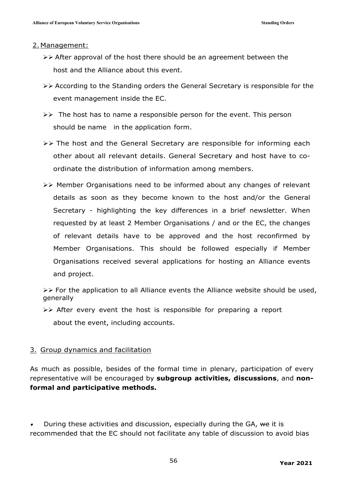#### 2. Management:

- $\triangleright\triangleright$  After approval of the host there should be an agreement between the host and the Alliance about this event.
- $\triangleright\triangleright$  According to the Standing orders the General Secretary is responsible for the event management inside the EC.
- $\triangleright\triangleright$  The host has to name a responsible person for the event. This person should be name in the application form.
- $\triangleright\triangleright$  The host and the General Secretary are responsible for informing each other about all relevant details. General Secretary and host have to coordinate the distribution of information among members.
- ØØ Member Organisations need to be informed about any changes of relevant details as soon as they become known to the host and/or the General Secretary - highlighting the key differences in a brief newsletter. When requested by at least 2 Member Organisations / and or the EC, the changes of relevant details have to be approved and the host reconfirmed by Member Organisations. This should be followed especially if Member Organisations received several applications for hosting an Alliance events and project.

 $\triangleright\triangleright$  For the application to all Alliance events the Alliance website should be used, generally

 $\triangleright\triangleright$  After every event the host is responsible for preparing a report

about the event, including accounts.

## 3. Group dynamics and facilitation

As much as possible, besides of the formal time in plenary, participation of every representative will be encouraged by **subgroup activities, discussions**, and **nonformal and participative methods.**

•During these activities and discussion, especially during the GA, we it is recommended that the EC should not facilitate any table of discussion to avoid bias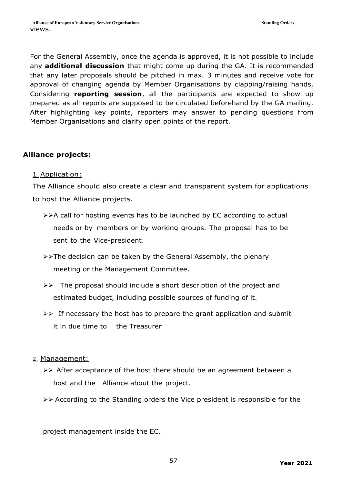For the General Assembly, once the agenda is approved, it is not possible to include any **additional discussion** that might come up during the GA. It is recommended that any later proposals should be pitched in max. 3 minutes and receive vote for approval of changing agenda by Member Organisations by clapping/raising hands. Considering **reporting session**, all the participants are expected to show up prepared as all reports are supposed to be circulated beforehand by the GA mailing. After highlighting key points, reporters may answer to pending questions from Member Organisations and clarify open points of the report.

# **Alliance projects:**

## 1.Application:

The Alliance should also create a clear and transparent system for applications to host the Alliance projects.

- $\triangleright\triangleright$ A call for hosting events has to be launched by EC according to actual needs or by members or by working groups. The proposal has to be sent to the Vice-president.
- ØØThe decision can be taken by the General Assembly, the plenary meeting or the Management Committee.
- $\triangleright\triangleright$  The proposal should include a short description of the project and estimated budget, including possible sources of funding of it.
- $\triangleright\triangleright$  If necessary the host has to prepare the grant application and submit it in due time to the Treasurer

# 2. Management:

- $\triangleright\triangleright$  After acceptance of the host there should be an agreement between a host and the Alliance about the project.
- $\triangleright\triangleright$  According to the Standing orders the Vice president is responsible for the

project management inside the EC.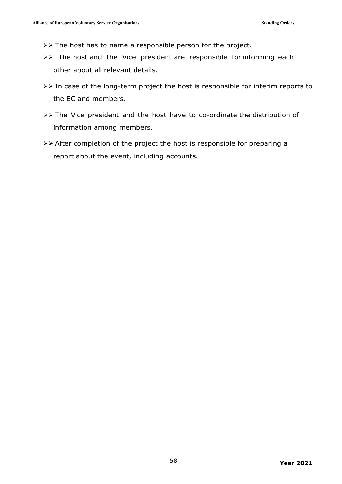$\triangleright\triangleright$  The host has to name a responsible person for the project.

- $\triangleright\triangleright$  The host and the Vice president are responsible for informing each other about all relevant details.
- $\triangleright\triangleright$  In case of the long-term project the host is responsible for interim reports to the EC and members.
- ØØ The Vice president and the host have to co-ordinate the distribution of information among members.
- $\triangleright\triangleright$  After completion of the project the host is responsible for preparing a report about the event, including accounts.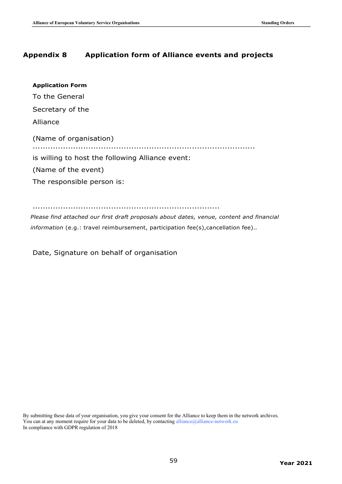# **Appendix 8 Application form of Alliance events and projects**

| <b>Application Form</b>                          |
|--------------------------------------------------|
| To the General                                   |
| Secretary of the                                 |
| Alliance                                         |
| (Name of organisation)                           |
| is willing to host the following Alliance event: |
| (Name of the event)                              |
| The responsible person is:                       |
|                                                  |

..........................................................................

*Please find attached our first draft proposals about dates, venue, content and financial information* (e.g.: travel reimbursement, participation fee(s),cancellation fee).*.*

Date, Signature on behalf of organisation

By submitting these data of your organisation, you give your consent for the Alliance to keep them in the network archives. You can at any moment require for your data to be deleted, by contacting alliance@alliance-network.eu In compliance with GDPR regulation of 2018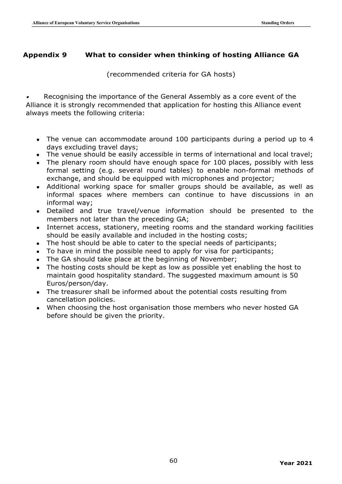# **Appendix 9 What to consider when thinking of hosting Alliance GA**

(recommended criteria for GA hosts)

• Recognising the importance of the General Assembly as a core event of the Alliance it is strongly recommended that application for hosting this Alliance event always meets the following criteria:

- The venue can accommodate around 100 participants during a period up to 4 days excluding travel days;
- $\bullet$  The venue should be easily accessible in terms of international and local travel;
- The plenary room should have enough space for 100 places, possibly with less formal setting (e.g. several round tables) to enable non-formal methods of exchange, and should be equipped with microphones and projector;
- Additional working space for smaller groups should be available, as well as informal spaces where members can continue to have discussions in an informal way;
- Detailed and true travel/venue information should be presented to the members not later than the preceding GA;
- Internet access, stationery, meeting rooms and the standard working facilities should be easily available and included in the hosting costs;
- The host should be able to cater to the special needs of participants;
- To have in mind the possible need to apply for visa for participants;
- The GA should take place at the beginning of November;
- The hosting costs should be kept as low as possible yet enabling the host to maintain good hospitality standard. The suggested maximum amount is 50 Euros/person/day.
- The treasurer shall be informed about the potential costs resulting from cancellation policies.
- When choosing the host organisation those members who never hosted GA before should be given the priority.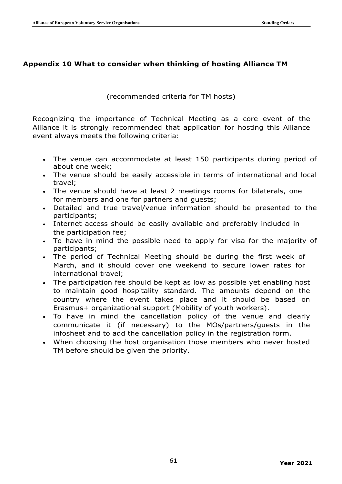## **Appendix 10 What to consider when thinking of hosting Alliance TM**

## (recommended criteria for TM hosts)

Recognizing the importance of Technical Meeting as a core event of the Alliance it is strongly recommended that application for hosting this Alliance event always meets the following criteria:

- The venue can accommodate at least 150 participants during period of about one week;
- The venue should be easily accessible in terms of international and local travel;
- The venue should have at least 2 meetings rooms for bilaterals, one for members and one for partners and guests;
- Detailed and true travel/venue information should be presented to the participants;
- Internet access should be easily available and preferably included in the participation fee;
- To have in mind the possible need to apply for visa for the majority of participants;
- The period of Technical Meeting should be during the first week of March, and it should cover one weekend to secure lower rates for international travel;
- The participation fee should be kept as low as possible yet enabling host to maintain good hospitality standard. The amounts depend on the country where the event takes place and it should be based on Erasmus+ organizational support (Mobility of youth workers).
- To have in mind the cancellation policy of the venue and clearly communicate it (if necessary) to the MOs/partners/guests in the infosheet and to add the cancellation policy in the registration form.
- When choosing the host organisation those members who never hosted TM before should be given the priority.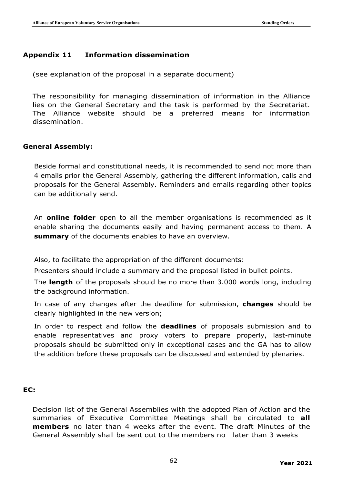# **Appendix 11 Information dissemination**

(see explanation of the proposal in a separate document)

The responsibility for managing dissemination of information in the Alliance lies on the General Secretary and the task is performed by the Secretariat. The Alliance website should be a preferred means for information dissemination.

#### **General Assembly:**

Beside formal and constitutional needs, it is recommended to send not more than 4 emails prior the General Assembly, gathering the different information, calls and proposals for the General Assembly. Reminders and emails regarding other topics can be additionally send.

An **online folder** open to all the member organisations is recommended as it enable sharing the documents easily and having permanent access to them. A **summary** of the documents enables to have an overview.

Also, to facilitate the appropriation of the different documents:

Presenters should include a summary and the proposal listed in bullet points.

The **length** of the proposals should be no more than 3.000 words long, including the background information.

In case of any changes after the deadline for submission, **changes** should be clearly highlighted in the new version;

In order to respect and follow the **deadlines** of proposals submission and to enable representatives and proxy voters to prepare properly, last-minute proposals should be submitted only in exceptional cases and the GA has to allow the addition before these proposals can be discussed and extended by plenaries.

## **EC:**

Decision list of the General Assemblies with the adopted Plan of Action and the summaries of Executive Committee Meetings shall be circulated to **all members** no later than 4 weeks after the event. The draft Minutes of the General Assembly shall be sent out to the members no later than 3 weeks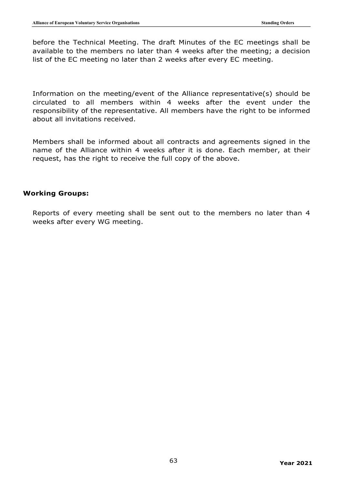before the Technical Meeting. The draft Minutes of the EC meetings shall be available to the members no later than 4 weeks after the meeting; a decision list of the EC meeting no later than 2 weeks after every EC meeting.

Information on the meeting/event of the Alliance representative(s) should be circulated to all members within 4 weeks after the event under the responsibility of the representative. All members have the right to be informed about all invitations received.

Members shall be informed about all contracts and agreements signed in the name of the Alliance within 4 weeks after it is done. Each member, at their request, has the right to receive the full copy of the above.

#### **Working Groups:**

Reports of every meeting shall be sent out to the members no later than 4 weeks after every WG meeting.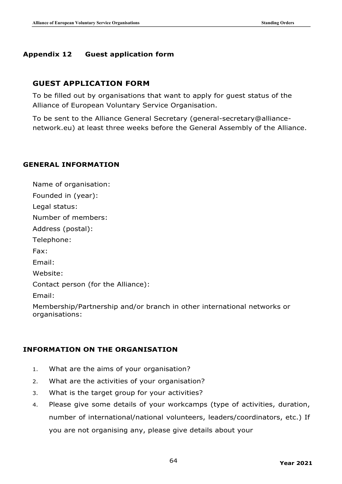## **Appendix 12 Guest application form**

# **GUEST APPLICATION FORM**

To be filled out by organisations that want to apply for guest status of the Alliance of European Voluntary Service Organisation.

To be sent to the Alliance General Secretary (general-secretary@alliancenetwork.eu) at least three weeks before the General Assembly of the Alliance.

## **GENERAL INFORMATION**

Name of organisation: Founded in (year): Legal status: Number of members: Address (postal): Telephone: Fax: Email: Website: Contact person (for the Alliance): Email: Membership/Partnership and/or branch in other international networks or organisations:

## **INFORMATION ON THE ORGANISATION**

- 1. What are the aims of your organisation?
- 2. What are the activities of your organisation?
- 3. What is the target group for your activities?
- 4. Please give some details of your workcamps (type of activities, duration, number of international/national volunteers, leaders/coordinators, etc.) If you are not organising any, please give details about your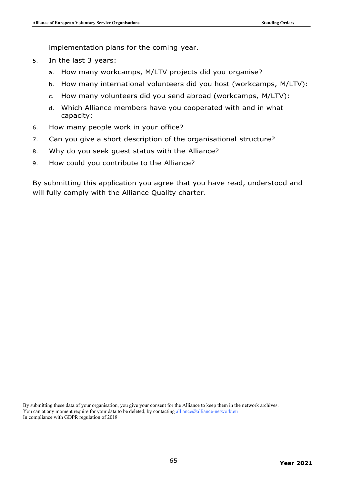implementation plans for the coming year.

- 5. In the last 3 years:
	- a. How many workcamps, M/LTV projects did you organise?
	- b. How many international volunteers did you host (workcamps, M/LTV):
	- c. How many volunteers did you send abroad (workcamps, M/LTV):
	- d. Which Alliance members have you cooperated with and in what capacity:
- 6. How many people work in your office?
- 7. Can you give a short description of the organisational structure?
- 8. Why do you seek guest status with the Alliance?
- 9. How could you contribute to the Alliance?

By submitting this application you agree that you have read, understood and will fully comply with the Alliance Quality charter.

By submitting these data of your organisation, you give your consent for the Alliance to keep them in the network archives. You can at any moment require for your data to be deleted, by contacting alliance@alliance-network.eu In compliance with GDPR regulation of 2018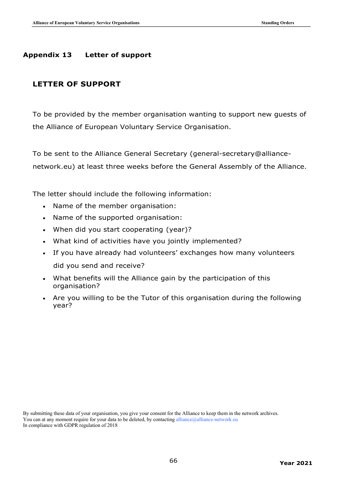# **Appendix 13 Letter of support**

# **LETTER OF SUPPORT**

To be provided by the member organisation wanting to support new guests of the Alliance of European Voluntary Service Organisation.

To be sent to the Alliance General Secretary (general-secretary@alliancenetwork.eu) at least three weeks before the General Assembly of the Alliance.

The letter should include the following information:

- Name of the member organisation:
- Name of the supported organisation:
- When did you start cooperating (year)?
- What kind of activities have you jointly implemented?
- If you have already had volunteers' exchanges how many volunteers did you send and receive?
- What benefits will the Alliance gain by the participation of this organisation?
- Are you willing to be the Tutor of this organisation during the following year?

By submitting these data of your organisation, you give your consent for the Alliance to keep them in the network archives. You can at any moment require for your data to be deleted, by contacting alliance@alliance-network.eu In compliance with GDPR regulation of 2018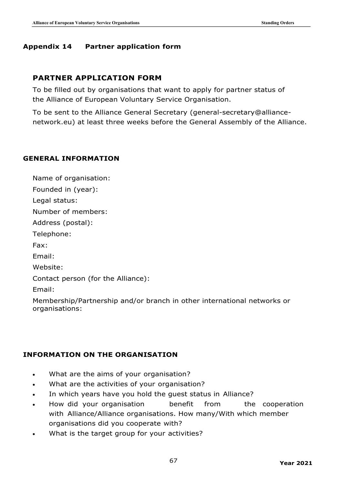## **Appendix 14 Partner application form**

# **PARTNER APPLICATION FORM**

To be filled out by organisations that want to apply for partner status of the Alliance of European Voluntary Service Organisation.

To be sent to the Alliance General Secretary (general-secretary@alliancenetwork.eu) at least three weeks before the General Assembly of the Alliance.

## **GENERAL INFORMATION**

Name of organisation: Founded in (year):

Legal status:

Number of members:

Address (postal):

Telephone:

Fax:

Email:

Website:

Contact person (for the Alliance):

Email:

Membership/Partnership and/or branch in other international networks or organisations:

## **INFORMATION ON THE ORGANISATION**

- What are the aims of your organisation?
- What are the activities of your organisation?
- In which years have you hold the guest status in Alliance?
- How did your organisation benefit from the cooperation with Alliance/Alliance organisations. How many/With which member organisations did you cooperate with?
- What is the target group for your activities?